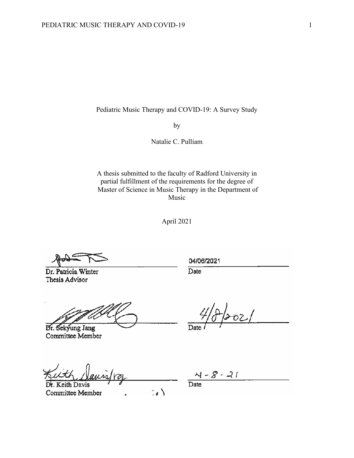Pediatric Music Therapy and COVID-19: A Survey Study

by

Natalie C. Pulliam

A thesis submitted to the faculty of Radford University in partial fulfillment of the requirements for the degree of Master of Science in Music Therapy in the Department of Music

April 2021

Dr. Patricia Winter Thesis Advisor

04/06/2021

Date

Dr. Sekyung Jang Committee Member

eith Davis  $\mathbb{R}$ Committee Member  $\overline{a}$ 

 $\overline{D}$ ate

 $\frac{\lambda}{\text{Date}} = \frac{8 - 21}{\text{Date}}$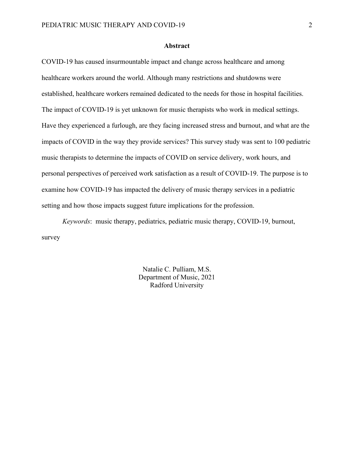#### **Abstract**

<span id="page-1-0"></span>COVID-19 has caused insurmountable impact and change across healthcare and among healthcare workers around the world. Although many restrictions and shutdowns were established, healthcare workers remained dedicated to the needs for those in hospital facilities. The impact of COVID-19 is yet unknown for music therapists who work in medical settings. Have they experienced a furlough, are they facing increased stress and burnout, and what are the impacts of COVID in the way they provide services? This survey study was sent to 100 pediatric music therapists to determine the impacts of COVID on service delivery, work hours, and personal perspectives of perceived work satisfaction as a result of COVID-19. The purpose is to examine how COVID-19 has impacted the delivery of music therapy services in a pediatric setting and how those impacts suggest future implications for the profession.

*Keywords*: music therapy, pediatrics, pediatric music therapy, COVID-19, burnout, survey

> Natalie C. Pulliam, M.S. Department of Music, 2021 Radford University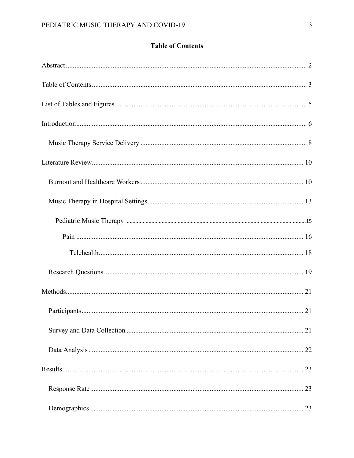# **Table of Contents**

<span id="page-2-0"></span>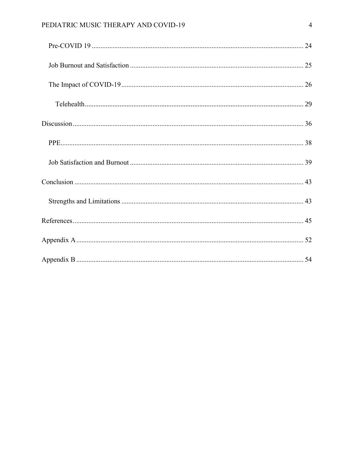# PEDIATRIC MUSIC THERAPY AND COVID-19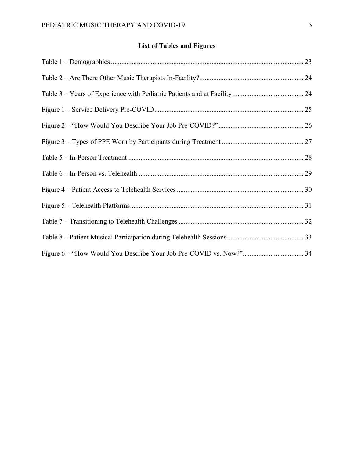# **List of Tables and Figures**

<span id="page-4-0"></span>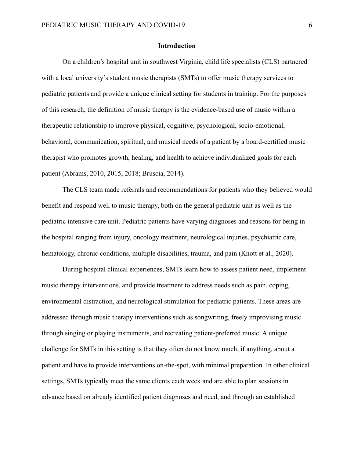#### **Introduction**

<span id="page-5-0"></span>On a children's hospital unit in southwest Virginia, child life specialists (CLS) partnered with a local university's student music therapists (SMTs) to offer music therapy services to pediatric patients and provide a unique clinical setting for students in training. For the purposes of this research, the definition of music therapy is the evidence-based use of music within a therapeutic relationship to improve physical, cognitive, psychological, socio-emotional, behavioral, communication, spiritual, and musical needs of a patient by a board-certified music therapist who promotes growth, healing, and health to achieve individualized goals for each patient (Abrams, 2010, 2015, 2018; Bruscia, 2014).

The CLS team made referrals and recommendations for patients who they believed would benefit and respond well to music therapy, both on the general pediatric unit as well as the pediatric intensive care unit. Pediatric patients have varying diagnoses and reasons for being in the hospital ranging from injury, oncology treatment, neurological injuries, psychiatric care, hematology, chronic conditions, multiple disabilities, trauma, and pain (Knott et al., 2020).

During hospital clinical experiences, SMTs learn how to assess patient need, implement music therapy interventions, and provide treatment to address needs such as pain, coping, environmental distraction, and neurological stimulation for pediatric patients. These areas are addressed through music therapy interventions such as songwriting, freely improvising music through singing or playing instruments, and recreating patient-preferred music. A unique challenge for SMTs in this setting is that they often do not know much, if anything, about a patient and have to provide interventions on-the-spot, with minimal preparation. In other clinical settings, SMTs typically meet the same clients each week and are able to plan sessions in advance based on already identified patient diagnoses and need, and through an established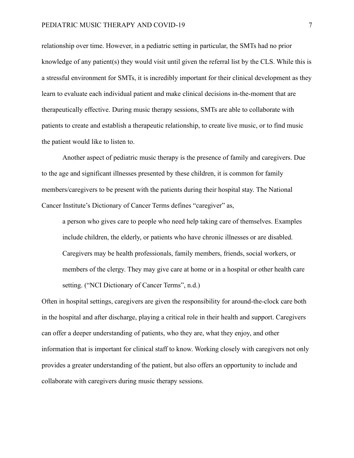relationship over time. However, in a pediatric setting in particular, the SMTs had no prior knowledge of any patient(s) they would visit until given the referral list by the CLS. While this is a stressful environment for SMTs, it is incredibly important for their clinical development as they learn to evaluate each individual patient and make clinical decisions in-the-moment that are therapeutically effective. During music therapy sessions, SMTs are able to collaborate with patients to create and establish a therapeutic relationship, to create live music, or to find music the patient would like to listen to.

Another aspect of pediatric music therapy is the presence of family and caregivers. Due to the age and significant illnesses presented by these children, it is common for family members/caregivers to be present with the patients during their hospital stay. The National Cancer Institute's Dictionary of Cancer Terms defines "caregiver" as,

a person who gives care to people who need help taking care of themselves. Examples include children, the elderly, or patients who have chronic illnesses or are disabled. Caregivers may be health professionals, family members, friends, social workers, or members of the clergy. They may give care at home or in a hospital or other health care setting. ("NCI Dictionary of Cancer Terms", n.d.)

Often in hospital settings, caregivers are given the responsibility for around-the-clock care both in the hospital and after discharge, playing a critical role in their health and support. Caregivers can offer a deeper understanding of patients, who they are, what they enjoy, and other information that is important for clinical staff to know. Working closely with caregivers not only provides a greater understanding of the patient, but also offers an opportunity to include and collaborate with caregivers during music therapy sessions.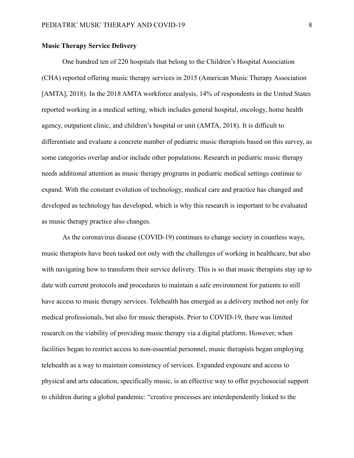## <span id="page-7-0"></span>**Music Therapy Service Delivery**

One hundred ten of 220 hospitals that belong to the Children's Hospital Association (CHA) reported offering music therapy services in 2015 (American Music Therapy Association [AMTA], 2018). In the 2018 AMTA workforce analysis, 14% of respondents in the United States reported working in a medical setting, which includes general hospital, oncology, home health agency, outpatient clinic, and children's hospital or unit (AMTA, 2018). It is difficult to differentiate and evaluate a concrete number of pediatric music therapists based on this survey, as some categories overlap and/or include other populations. Research in pediatric music therapy needs additional attention as music therapy programs in pediatric medical settings continue to expand. With the constant evolution of technology, medical care and practice has changed and developed as technology has developed, which is why this research is important to be evaluated as music therapy practice also changes.

As the coronavirus disease (COVID-19) continues to change society in countless ways, music therapists have been tasked not only with the challenges of working in healthcare, but also with navigating how to transform their service delivery. This is so that music therapists stay up to date with current protocols and procedures to maintain a safe environment for patients to still have access to music therapy services. Telehealth has emerged as a delivery method not only for medical professionals, but also for music therapists. Prior to COVID-19, there was limited research on the viability of providing music therapy via a digital platform. However, when facilities began to restrict access to non-essential personnel, music therapists began employing telehealth as a way to maintain consistency of services. Expanded exposure and access to physical and arts education, specifically music, is an effective way to offer psychosocial support to children during a global pandemic: "creative processes are interdependently linked to the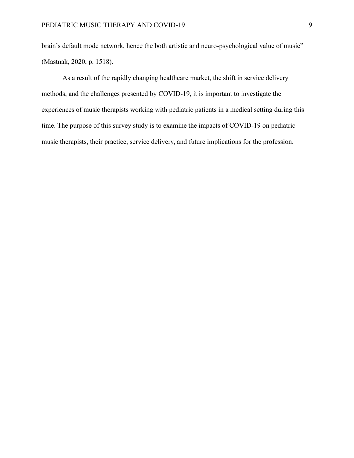brain's default mode network, hence the both artistic and neuro-psychological value of music" (Mastnak, 2020, p. 1518).

As a result of the rapidly changing healthcare market, the shift in service delivery methods, and the challenges presented by COVID-19, it is important to investigate the experiences of music therapists working with pediatric patients in a medical setting during this time. The purpose of this survey study is to examine the impacts of COVID-19 on pediatric music therapists, their practice, service delivery, and future implications for the profession.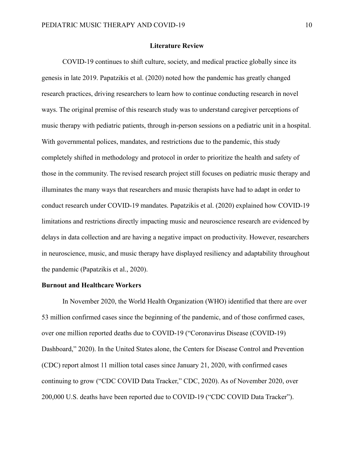#### **Literature Review**

<span id="page-9-0"></span>COVID-19 continues to shift culture, society, and medical practice globally since its genesis in late 2019. Papatzikis et al. (2020) noted how the pandemic has greatly changed research practices, driving researchers to learn how to continue conducting research in novel ways. The original premise of this research study was to understand caregiver perceptions of music therapy with pediatric patients, through in-person sessions on a pediatric unit in a hospital. With governmental polices, mandates, and restrictions due to the pandemic, this study completely shifted in methodology and protocol in order to prioritize the health and safety of those in the community. The revised research project still focuses on pediatric music therapy and illuminates the many ways that researchers and music therapists have had to adapt in order to conduct research under COVID-19 mandates. Papatzikis et al. (2020) explained how COVID-19 limitations and restrictions directly impacting music and neuroscience research are evidenced by delays in data collection and are having a negative impact on productivity. However, researchers in neuroscience, music, and music therapy have displayed resiliency and adaptability throughout the pandemic (Papatzikis et al., 2020).

### <span id="page-9-1"></span>**Burnout and Healthcare Workers**

In November 2020, the World Health Organization (WHO) identified that there are over 53 million confirmed cases since the beginning of the pandemic, and of those confirmed cases, over one million reported deaths due to COVID-19 ("Coronavirus Disease (COVID-19) Dashboard," 2020). In the United States alone, the Centers for Disease Control and Prevention (CDC) report almost 11 million total cases since January 21, 2020, with confirmed cases continuing to grow ("CDC COVID Data Tracker," CDC, 2020). As of November 2020, over 200,000 U.S. deaths have been reported due to COVID-19 ("CDC COVID Data Tracker").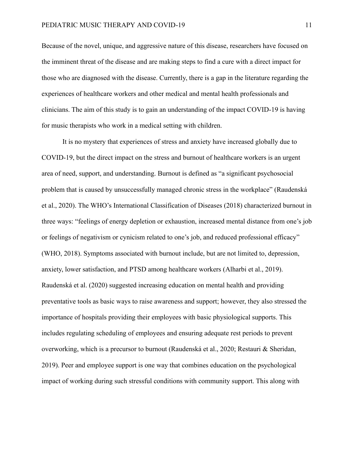Because of the novel, unique, and aggressive nature of this disease, researchers have focused on the imminent threat of the disease and are making steps to find a cure with a direct impact for those who are diagnosed with the disease. Currently, there is a gap in the literature regarding the experiences of healthcare workers and other medical and mental health professionals and clinicians. The aim of this study is to gain an understanding of the impact COVID-19 is having for music therapists who work in a medical setting with children.

It is no mystery that experiences of stress and anxiety have increased globally due to COVID-19, but the direct impact on the stress and burnout of healthcare workers is an urgent area of need, support, and understanding. Burnout is defined as "a significant psychosocial problem that is caused by unsuccessfully managed chronic stress in the workplace" (Raudenská et al., 2020). The WHO's International Classification of Diseases (2018) characterized burnout in three ways: "feelings of energy depletion or exhaustion, increased mental distance from one's job or feelings of negativism or cynicism related to one's job, and reduced professional efficacy" (WHO, 2018). Symptoms associated with burnout include, but are not limited to, depression, anxiety, lower satisfaction, and PTSD among healthcare workers (Alharbi et al., 2019). Raudenská et al. (2020) suggested increasing education on mental health and providing preventative tools as basic ways to raise awareness and support; however, they also stressed the importance of hospitals providing their employees with basic physiological supports. This includes regulating scheduling of employees and ensuring adequate rest periods to prevent overworking, which is a precursor to burnout (Raudenská et al., 2020; Restauri & Sheridan, 2019). Peer and employee support is one way that combines education on the psychological impact of working during such stressful conditions with community support. This along with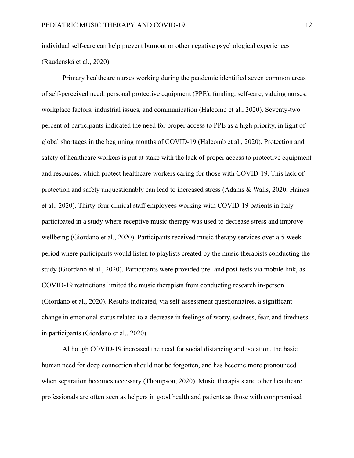individual self-care can help prevent burnout or other negative psychological experiences (Raudenská et al., 2020).

Primary healthcare nurses working during the pandemic identified seven common areas of self-perceived need: personal protective equipment (PPE), funding, self-care, valuing nurses, workplace factors, industrial issues, and communication (Halcomb et al., 2020). Seventy-two percent of participants indicated the need for proper access to PPE as a high priority, in light of global shortages in the beginning months of COVID-19 (Halcomb et al., 2020). Protection and safety of healthcare workers is put at stake with the lack of proper access to protective equipment and resources, which protect healthcare workers caring for those with COVID-19. This lack of protection and safety unquestionably can lead to increased stress (Adams & Walls, 2020; Haines et al., 2020). Thirty-four clinical staff employees working with COVID-19 patients in Italy participated in a study where receptive music therapy was used to decrease stress and improve wellbeing (Giordano et al., 2020). Participants received music therapy services over a 5-week period where participants would listen to playlists created by the music therapists conducting the study (Giordano et al., 2020). Participants were provided pre- and post-tests via mobile link, as COVID-19 restrictions limited the music therapists from conducting research in-person (Giordano et al., 2020). Results indicated, via self-assessment questionnaires, a significant change in emotional status related to a decrease in feelings of worry, sadness, fear, and tiredness in participants (Giordano et al., 2020).

Although COVID-19 increased the need for social distancing and isolation, the basic human need for deep connection should not be forgotten, and has become more pronounced when separation becomes necessary (Thompson, 2020). Music therapists and other healthcare professionals are often seen as helpers in good health and patients as those with compromised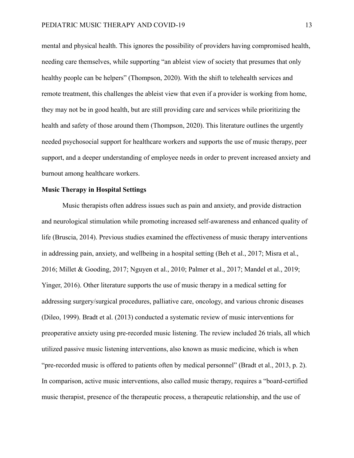mental and physical health. This ignores the possibility of providers having compromised health, needing care themselves, while supporting "an ableist view of society that presumes that only healthy people can be helpers" (Thompson, 2020). With the shift to telehealth services and remote treatment, this challenges the ableist view that even if a provider is working from home, they may not be in good health, but are still providing care and services while prioritizing the health and safety of those around them (Thompson, 2020). This literature outlines the urgently needed psychosocial support for healthcare workers and supports the use of music therapy, peer support, and a deeper understanding of employee needs in order to prevent increased anxiety and burnout among healthcare workers.

### <span id="page-12-0"></span>**Music Therapy in Hospital Settings**

Music therapists often address issues such as pain and anxiety, and provide distraction and neurological stimulation while promoting increased self-awareness and enhanced quality of life (Bruscia, 2014). Previous studies examined the effectiveness of music therapy interventions in addressing pain, anxiety, and wellbeing in a hospital setting (Beh et al., 2017; Misra et al., 2016; Millet & Gooding, 2017; Nguyen et al., 2010; Palmer et al., 2017; Mandel et al., 2019; Yinger, 2016). Other literature supports the use of music therapy in a medical setting for addressing surgery/surgical procedures, palliative care, oncology, and various chronic diseases (Dileo, 1999). Bradt et al. (2013) conducted a systematic review of music interventions for preoperative anxiety using pre-recorded music listening. The review included 26 trials, all which utilized passive music listening interventions, also known as music medicine, which is when "pre-recorded music is offered to patients often by medical personnel" (Bradt et al., 2013, p. 2). In comparison, active music interventions, also called music therapy, requires a "board-certified music therapist, presence of the therapeutic process, a therapeutic relationship, and the use of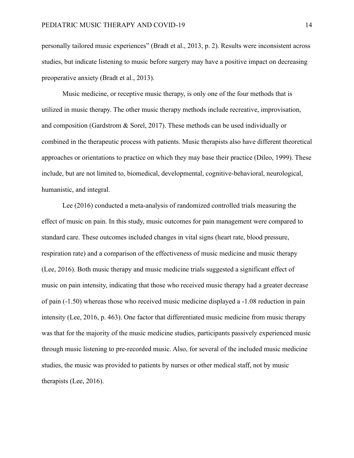personally tailored music experiences" (Bradt et al., 2013, p. 2). Results were inconsistent across studies, but indicate listening to music before surgery may have a positive impact on decreasing preoperative anxiety (Bradt et al., 2013).

Music medicine, or receptive music therapy, is only one of the four methods that is utilized in music therapy. The other music therapy methods include recreative, improvisation, and composition (Gardstrom & Sorel, 2017). These methods can be used individually or combined in the therapeutic process with patients. Music therapists also have different theoretical approaches or orientations to practice on which they may base their practice (Dileo, 1999). These include, but are not limited to, biomedical, developmental, cognitive-behavioral, neurological, humanistic, and integral.

Lee (2016) conducted a meta-analysis of randomized controlled trials measuring the effect of music on pain. In this study, music outcomes for pain management were compared to standard care. These outcomes included changes in vital signs (heart rate, blood pressure, respiration rate) and a comparison of the effectiveness of music medicine and music therapy (Lee, 2016). Both music therapy and music medicine trials suggested a significant effect of music on pain intensity, indicating that those who received music therapy had a greater decrease of pain (-1.50) whereas those who received music medicine displayed a -1.08 reduction in pain intensity (Lee, 2016, p. 463). One factor that differentiated music medicine from music therapy was that for the majority of the music medicine studies, participants passively experienced music through music listening to pre-recorded music. Also, for several of the included music medicine studies, the music was provided to patients by nurses or other medical staff, not by music therapists (Lee, 2016).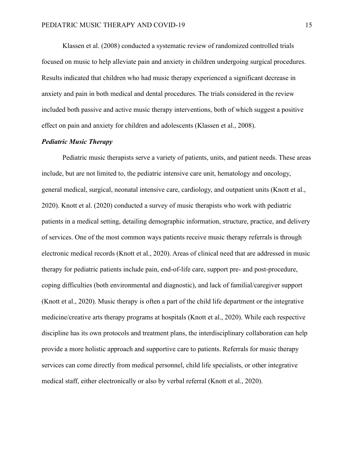Klassen et al. (2008) conducted a systematic review of randomized controlled trials focused on music to help alleviate pain and anxiety in children undergoing surgical procedures. Results indicated that children who had music therapy experienced a significant decrease in anxiety and pain in both medical and dental procedures. The trials considered in the review included both passive and active music therapy interventions, both of which suggest a positive effect on pain and anxiety for children and adolescents (Klassen et al., 2008).

## <span id="page-14-0"></span>*Pediatric Music Therapy*

Pediatric music therapists serve a variety of patients, units, and patient needs. These areas include, but are not limited to, the pediatric intensive care unit, hematology and oncology, general medical, surgical, neonatal intensive care, cardiology, and outpatient units (Knott et al., 2020). Knott et al. (2020) conducted a survey of music therapists who work with pediatric patients in a medical setting, detailing demographic information, structure, practice, and delivery of services. One of the most common ways patients receive music therapy referrals is through electronic medical records (Knott et al., 2020). Areas of clinical need that are addressed in music therapy for pediatric patients include pain, end-of-life care, support pre- and post-procedure, coping difficulties (both environmental and diagnostic), and lack of familial/caregiver support (Knott et al., 2020). Music therapy is often a part of the child life department or the integrative medicine/creative arts therapy programs at hospitals (Knott et al., 2020). While each respective discipline has its own protocols and treatment plans, the interdisciplinary collaboration can help provide a more holistic approach and supportive care to patients. Referrals for music therapy services can come directly from medical personnel, child life specialists, or other integrative medical staff, either electronically or also by verbal referral (Knott et al., 2020).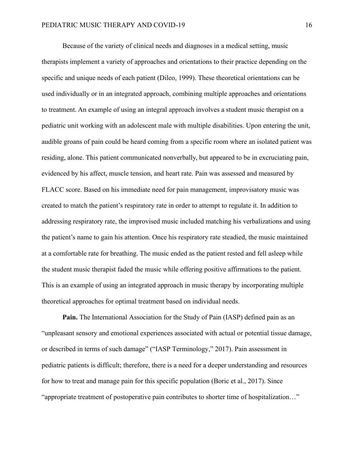Because of the variety of clinical needs and diagnoses in a medical setting, music therapists implement a variety of approaches and orientations to their practice depending on the specific and unique needs of each patient (Dileo, 1999). These theoretical orientations can be used individually or in an integrated approach, combining multiple approaches and orientations to treatment. An example of using an integral approach involves a student music therapist on a pediatric unit working with an adolescent male with multiple disabilities. Upon entering the unit, audible groans of pain could be heard coming from a specific room where an isolated patient was residing, alone. This patient communicated nonverbally, but appeared to be in excruciating pain, evidenced by his affect, muscle tension, and heart rate. Pain was assessed and measured by FLACC score. Based on his immediate need for pain management, improvisatory music was created to match the patient's respiratory rate in order to attempt to regulate it. In addition to addressing respiratory rate, the improvised music included matching his verbalizations and using the patient's name to gain his attention. Once his respiratory rate steadied, the music maintained at a comfortable rate for breathing. The music ended as the patient rested and fell asleep while the student music therapist faded the music while offering positive affirmations to the patient. This is an example of using an integrated approach in music therapy by incorporating multiple theoretical approaches for optimal treatment based on individual needs.

<span id="page-15-0"></span>**Pain.** The International Association for the Study of Pain (IASP) defined pain as an "unpleasant sensory and emotional experiences associated with actual or potential tissue damage, or described in terms of such damage" ("IASP Terminology," 2017). Pain assessment in pediatric patients is difficult; therefore, there is a need for a deeper understanding and resources for how to treat and manage pain for this specific population (Boric et al., 2017). Since "appropriate treatment of postoperative pain contributes to shorter time of hospitalization…"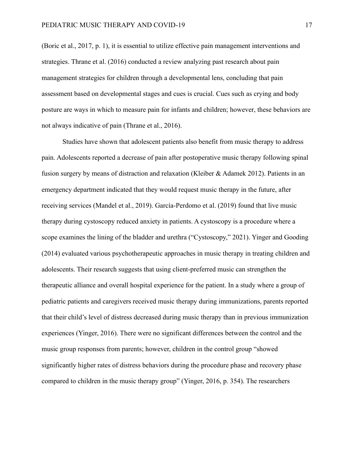(Boric et al., 2017, p. 1), it is essential to utilize effective pain management interventions and strategies. Thrane et al. (2016) conducted a review analyzing past research about pain management strategies for children through a developmental lens, concluding that pain assessment based on developmental stages and cues is crucial. Cues such as crying and body posture are ways in which to measure pain for infants and children; however, these behaviors are not always indicative of pain (Thrane et al., 2016).

Studies have shown that adolescent patients also benefit from music therapy to address pain. Adolescents reported a decrease of pain after postoperative music therapy following spinal fusion surgery by means of distraction and relaxation (Kleiber & Adamek 2012). Patients in an emergency department indicated that they would request music therapy in the future, after receiving services (Mandel et al., 2019). García-Perdomo et al. (2019) found that live music therapy during cystoscopy reduced anxiety in patients. A cystoscopy is a procedure where a scope examines the lining of the bladder and urethra ("Cystoscopy," 2021). Yinger and Gooding (2014) evaluated various psychotherapeutic approaches in music therapy in treating children and adolescents. Their research suggests that using client-preferred music can strengthen the therapeutic alliance and overall hospital experience for the patient. In a study where a group of pediatric patients and caregivers received music therapy during immunizations, parents reported that their child's level of distress decreased during music therapy than in previous immunization experiences (Yinger, 2016). There were no significant differences between the control and the music group responses from parents; however, children in the control group "showed significantly higher rates of distress behaviors during the procedure phase and recovery phase compared to children in the music therapy group" (Yinger, 2016, p. 354). The researchers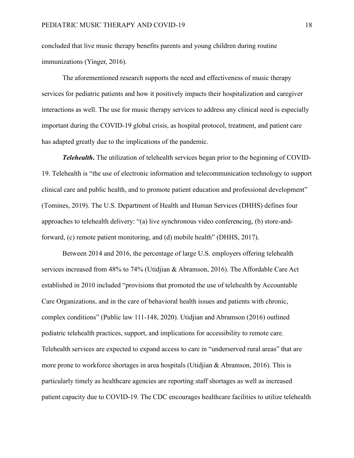concluded that live music therapy benefits parents and young children during routine immunizations (Yinger, 2016).

The aforementioned research supports the need and effectiveness of music therapy services for pediatric patients and how it positively impacts their hospitalization and caregiver interactions as well. The use for music therapy services to address any clinical need is especially important during the COVID-19 global crisis, as hospital protocol, treatment, and patient care has adapted greatly due to the implications of the pandemic.

<span id="page-17-0"></span>*Telehealth***.** The utilization of telehealth services began prior to the beginning of COVID-19. Telehealth is "the use of electronic information and telecommunication technology to support clinical care and public health, and to promote patient education and professional development" (Tomines, 2019). The U.S. Department of Health and Human Services (DHHS) defines four approaches to telehealth delivery: "(a) live synchronous video conferencing, (b) store-andforward, (c) remote patient monitoring, and (d) mobile health" (DHHS, 2017).

Between 2014 and 2016, the percentage of large U.S. employers offering telehealth services increased from 48% to 74% (Utidjian & Abramson, 2016). The Affordable Care Act established in 2010 included "provisions that promoted the use of telehealth by Accountable Care Organizations, and in the care of behavioral health issues and patients with chronic, complex conditions" (Public law 111-148, 2020). Utidjian and Abramson (2016) outlined pediatric telehealth practices, support, and implications for accessibility to remote care. Telehealth services are expected to expand access to care in "underserved rural areas" that are more prone to workforce shortages in area hospitals (Utidjian & Abramson, 2016). This is particularly timely as healthcare agencies are reporting staff shortages as well as increased patient capacity due to COVID-19. The CDC encourages healthcare facilities to utilize telehealth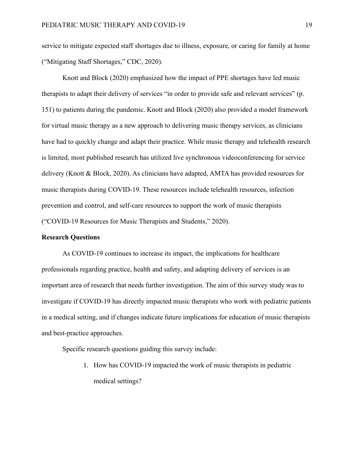service to mitigate expected staff shortages due to illness, exposure, or caring for family at home ("Mitigating Staff Shortages," CDC, 2020).

Knott and Block (2020) emphasized how the impact of PPE shortages have led music therapists to adapt their delivery of services "in order to provide safe and relevant services" (p. 151) to patients during the pandemic. Knott and Block (2020) also provided a model framework for virtual music therapy as a new approach to delivering music therapy services, as clinicians have had to quickly change and adapt their practice. While music therapy and telehealth research is limited, most published research has utilized live synchronous videoconferencing for service delivery (Knott & Block, 2020). As clinicians have adapted, AMTA has provided resources for music therapists during COVID-19. These resources include telehealth resources, infection prevention and control, and self-care resources to support the work of music therapists ("COVID-19 Resources for Music Therapists and Students," 2020).

#### <span id="page-18-0"></span>**Research Questions**

As COVID-19 continues to increase its impact, the implications for healthcare professionals regarding practice, health and safety, and adapting delivery of services is an important area of research that needs further investigation. The aim of this survey study was to investigate if COVID-19 has directly impacted music therapists who work with pediatric patients in a medical setting, and if changes indicate future implications for education of music therapists and best-practice approaches.

Specific research questions guiding this survey include:

1. How has COVID-19 impacted the work of music therapists in pediatric medical settings?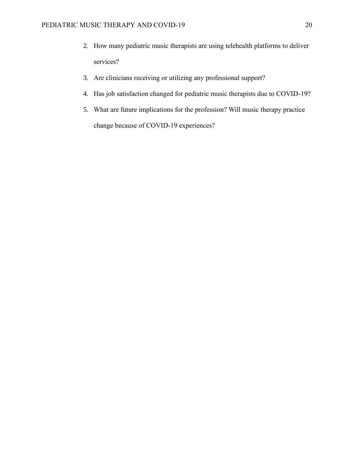- 2. How many pediatric music therapists are using telehealth platforms to deliver services?
- 3. Are clinicians receiving or utilizing any professional support?
- 4. Has job satisfaction changed for pediatric music therapists due to COVID-19?
- 5. What are future implications for the profession? Will music therapy practice change because of COVID-19 experiences?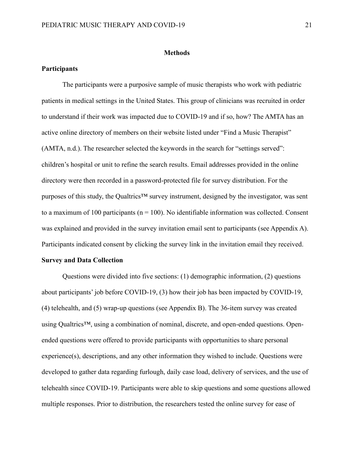#### **Methods**

#### <span id="page-20-1"></span><span id="page-20-0"></span>**Participants**

The participants were a purposive sample of music therapists who work with pediatric patients in medical settings in the United States. This group of clinicians was recruited in order to understand if their work was impacted due to COVID-19 and if so, how? The AMTA has an active online directory of members on their website listed under "Find a Music Therapist" (AMTA, n.d.). The researcher selected the keywords in the search for "settings served": children's hospital or unit to refine the search results. Email addresses provided in the online directory were then recorded in a password-protected file for survey distribution. For the purposes of this study, the Qualtrics<sup>™</sup> survey instrument, designed by the investigator, was sent to a maximum of 100 participants ( $n = 100$ ). No identifiable information was collected. Consent was explained and provided in the survey invitation email sent to participants (see Appendix A). Participants indicated consent by clicking the survey link in the invitation email they received.

#### <span id="page-20-2"></span>**Survey and Data Collection**

Questions were divided into five sections: (1) demographic information, (2) questions about participants' job before COVID-19, (3) how their job has been impacted by COVID-19, (4) telehealth, and (5) wrap-up questions (see Appendix B). The 36-item survey was created using Qualtrics™, using a combination of nominal, discrete, and open-ended questions. Openended questions were offered to provide participants with opportunities to share personal experience(s), descriptions, and any other information they wished to include. Questions were developed to gather data regarding furlough, daily case load, delivery of services, and the use of telehealth since COVID-19. Participants were able to skip questions and some questions allowed multiple responses. Prior to distribution, the researchers tested the online survey for ease of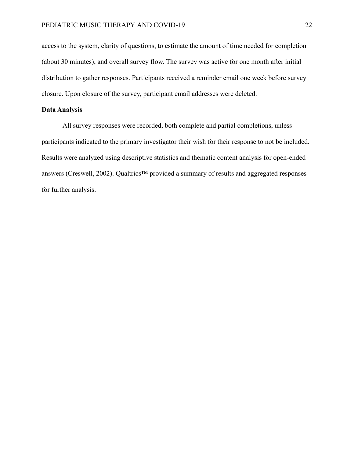access to the system, clarity of questions, to estimate the amount of time needed for completion (about 30 minutes), and overall survey flow. The survey was active for one month after initial distribution to gather responses. Participants received a reminder email one week before survey closure. Upon closure of the survey, participant email addresses were deleted.

## <span id="page-21-0"></span>**Data Analysis**

All survey responses were recorded, both complete and partial completions, unless participants indicated to the primary investigator their wish for their response to not be included. Results were analyzed using descriptive statistics and thematic content analysis for open-ended answers (Creswell, 2002). Qualtrics™ provided a summary of results and aggregated responses for further analysis.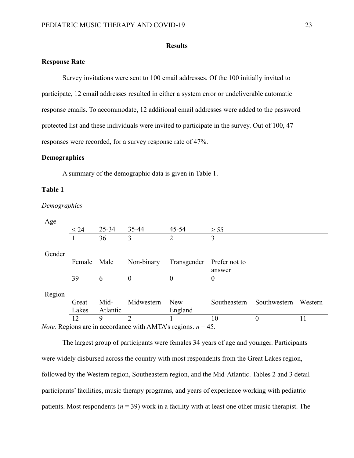### **Results**

## <span id="page-22-1"></span><span id="page-22-0"></span>**Response Rate**

Survey invitations were sent to 100 email addresses. Of the 100 initially invited to participate, 12 email addresses resulted in either a system error or undeliverable automatic response emails. To accommodate, 12 additional email addresses were added to the password protected list and these individuals were invited to participate in the survey. Out of 100, 47 responses were recorded, for a survey response rate of 47%.

## <span id="page-22-2"></span>**Demographics**

A summary of the demographic data is given in Table 1.

### <span id="page-22-3"></span>**Table 1**

#### *Demographics*

| Age                                                                    |             |           |            |                |               |              |         |
|------------------------------------------------------------------------|-------------|-----------|------------|----------------|---------------|--------------|---------|
|                                                                        | $\leq 24$   | $25 - 34$ | 35-44      | 45-54          | $\geq$ 55     |              |         |
|                                                                        |             | 36        | 3          | $\overline{2}$ | 3             |              |         |
|                                                                        |             |           |            |                |               |              |         |
| Gender                                                                 |             |           |            |                |               |              |         |
|                                                                        | Female Male |           | Non-binary | Transgender    | Prefer not to |              |         |
|                                                                        |             |           |            |                | answer        |              |         |
|                                                                        | 39          | 6         | 0          | $\Omega$       | $\Omega$      |              |         |
|                                                                        |             |           |            |                |               |              |         |
| Region                                                                 |             |           |            |                |               |              |         |
|                                                                        | Great       | Mid-      | Midwestern | <b>New</b>     | Southeastern  | Southwestern | Western |
|                                                                        | Lakes       | Atlantic  |            | England        |               |              |         |
|                                                                        | 12          | 9         | 2          |                | 10            | 0            | 11      |
| <i>Note.</i> Regions are in accordance with AMTA's regions. $n = 45$ . |             |           |            |                |               |              |         |

The largest group of participants were females 34 years of age and younger. Participants were widely disbursed across the country with most respondents from the Great Lakes region, followed by the Western region, Southeastern region, and the Mid-Atlantic. Tables 2 and 3 detail participants' facilities, music therapy programs, and years of experience working with pediatric patients. Most respondents ( $n = 39$ ) work in a facility with at least one other music therapist. The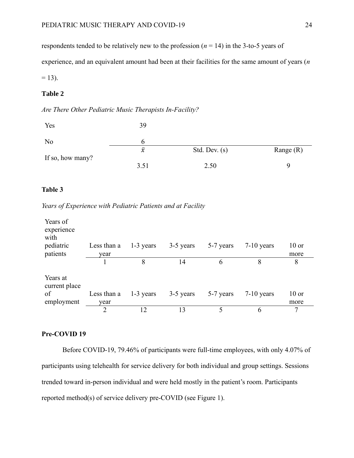respondents tended to be relatively new to the profession  $(n = 14)$  in the 3-to-5 years of

experience, and an equivalent amount had been at their facilities for the same amount of years (*n*

 $= 13$ ).

## <span id="page-23-1"></span>**Table 2**

## *Are There Other Pediatric Music Therapists In-Facility?*

| Yes              | 39           |                 |             |
|------------------|--------------|-----------------|-------------|
| N <sub>o</sub>   |              |                 |             |
|                  | $\bar{\chi}$ | Std. Dev. $(s)$ | Range $(R)$ |
| If so, how many? | 3.51         | 2.50            |             |

## <span id="page-23-2"></span>**Table 3**

*Years of Experience with Pediatric Patients and at Facility*

| Years of<br>experience<br>with<br>pediatric<br>patients | Less than a<br>year | $1-3$ years | 3-5 years | 5-7 years | $7-10$ years | $10$ or<br>more |
|---------------------------------------------------------|---------------------|-------------|-----------|-----------|--------------|-----------------|
|                                                         |                     | 8           | 14        | 6         | 8            | 8               |
| Years at<br>current place<br>of<br>employment           | Less than a<br>year | $1-3$ years | 3-5 years | 5-7 years | $7-10$ years | $10$ or<br>more |
|                                                         | $\overline{2}$      | 12          | 13        |           | 6            | 7               |

## <span id="page-23-0"></span>**Pre-COVID 19**

Before COVID-19, 79.46% of participants were full-time employees, with only 4.07% of participants using telehealth for service delivery for both individual and group settings. Sessions trended toward in-person individual and were held mostly in the patient's room. Participants reported method(s) of service delivery pre-COVID (see Figure 1).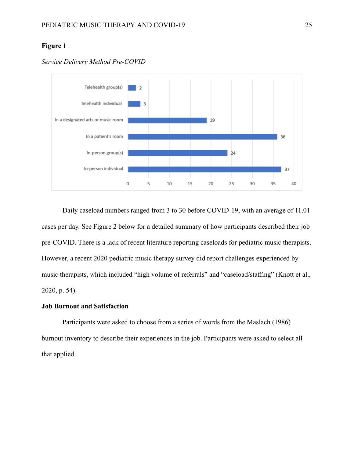## <span id="page-24-1"></span>**Figure 1**



*Service Delivery Method Pre-COVID*

Daily caseload numbers ranged from 3 to 30 before COVID-19, with an average of 11.01 cases per day. See Figure 2 below for a detailed summary of how participants described their job pre-COVID. There is a lack of recent literature reporting caseloads for pediatric music therapists. However, a recent 2020 pediatric music therapy survey did report challenges experienced by music therapists, which included "high volume of referrals" and "caseload/staffing" (Knott et al., 2020, p. 54).

## <span id="page-24-0"></span>**Job Burnout and Satisfaction**

Participants were asked to choose from a series of words from the Maslach (1986) burnout inventory to describe their experiences in the job. Participants were asked to select all that applied.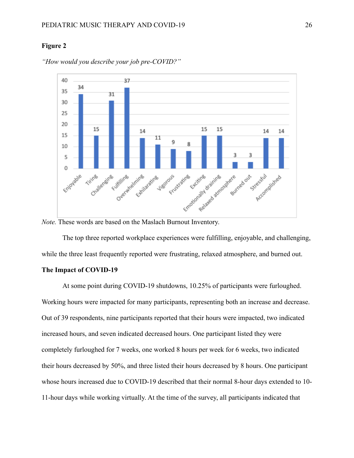## <span id="page-25-1"></span>**Figure 2**



*"How would you describe your job pre-COVID?"*

*Note.* These words are based on the Maslach Burnout Inventory.

The top three reported workplace experiences were fulfilling, enjoyable, and challenging, while the three least frequently reported were frustrating, relaxed atmosphere, and burned out.

### <span id="page-25-0"></span>**The Impact of COVID-19**

At some point during COVID-19 shutdowns, 10.25% of participants were furloughed. Working hours were impacted for many participants, representing both an increase and decrease. Out of 39 respondents, nine participants reported that their hours were impacted, two indicated increased hours, and seven indicated decreased hours. One participant listed they were completely furloughed for 7 weeks, one worked 8 hours per week for 6 weeks, two indicated their hours decreased by 50%, and three listed their hours decreased by 8 hours. One participant whose hours increased due to COVID-19 described that their normal 8-hour days extended to 10- 11-hour days while working virtually. At the time of the survey, all participants indicated that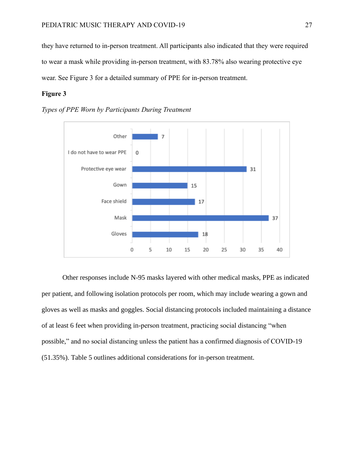they have returned to in-person treatment. All participants also indicated that they were required to wear a mask while providing in-person treatment, with 83.78% also wearing protective eye wear. See Figure 3 for a detailed summary of PPE for in-person treatment.

## <span id="page-26-0"></span>**Figure 3**





<span id="page-26-1"></span>Other responses include N-95 masks layered with other medical masks, PPE as indicated per patient, and following isolation protocols per room, which may include wearing a gown and gloves as well as masks and goggles. Social distancing protocols included maintaining a distance of at least 6 feet when providing in-person treatment, practicing social distancing "when possible," and no social distancing unless the patient has a confirmed diagnosis of COVID-19 (51.35%). Table 5 outlines additional considerations for in-person treatment.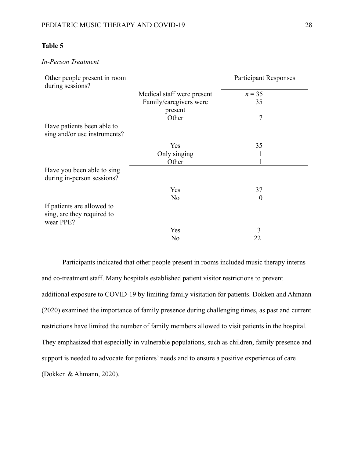## **Table 5**

## *In-Person Treatment*

| Other people present in room<br>during sessions?                      |                            | <b>Participant Responses</b> |
|-----------------------------------------------------------------------|----------------------------|------------------------------|
|                                                                       | Medical staff were present | $n = 35$                     |
|                                                                       | Family/caregivers were     | 35                           |
|                                                                       | present                    |                              |
|                                                                       | Other                      | 7                            |
| Have patients been able to<br>sing and/or use instruments?            |                            |                              |
|                                                                       | Yes                        | 35                           |
|                                                                       | Only singing               |                              |
|                                                                       | Other                      |                              |
| Have you been able to sing<br>during in-person sessions?              |                            |                              |
|                                                                       | Yes                        | 37                           |
|                                                                       | No                         | 0                            |
| If patients are allowed to<br>sing, are they required to<br>wear PPE? |                            |                              |
|                                                                       | Yes                        | 3                            |
|                                                                       | No                         | 22                           |

Participants indicated that other people present in rooms included music therapy interns and co-treatment staff. Many hospitals established patient visitor restrictions to prevent additional exposure to COVID-19 by limiting family visitation for patients. Dokken and Ahmann (2020) examined the importance of family presence during challenging times, as past and current restrictions have limited the number of family members allowed to visit patients in the hospital. They emphasized that especially in vulnerable populations, such as children, family presence and support is needed to advocate for patients' needs and to ensure a positive experience of care (Dokken & Ahmann, 2020).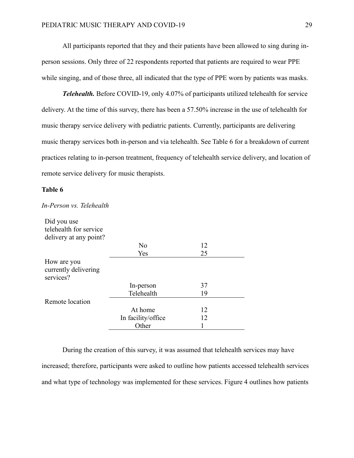All participants reported that they and their patients have been allowed to sing during inperson sessions. Only three of 22 respondents reported that patients are required to wear PPE while singing, and of those three, all indicated that the type of PPE worn by patients was masks.

<span id="page-28-0"></span>*Telehealth.* Before COVID-19, only 4.07% of participants utilized telehealth for service delivery. At the time of this survey, there has been a 57.50% increase in the use of telehealth for music therapy service delivery with pediatric patients. Currently, participants are delivering music therapy services both in-person and via telehealth. See Table 6 for a breakdown of current practices relating to in-person treatment, frequency of telehealth service delivery, and location of remote service delivery for music therapists.

#### <span id="page-28-1"></span>**Table 6**

| Did you use<br>telehealth for service            |                    |    |
|--------------------------------------------------|--------------------|----|
| delivery at any point?                           |                    |    |
|                                                  | No                 | 12 |
|                                                  | Yes                | 25 |
| How are you<br>currently delivering<br>services? |                    |    |
|                                                  | In-person          | 37 |
|                                                  | Telehealth         | 19 |
| Remote location                                  |                    |    |
|                                                  | At home            | 12 |
|                                                  | In facility/office | 12 |
|                                                  | Other              |    |

#### *In-Person vs. Telehealth*

During the creation of this survey, it was assumed that telehealth services may have increased; therefore, participants were asked to outline how patients accessed telehealth services and what type of technology was implemented for these services. Figure 4 outlines how patients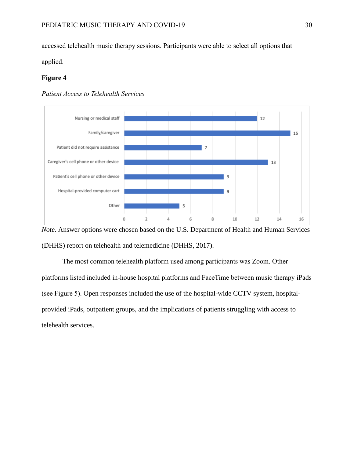accessed telehealth music therapy sessions. Participants were able to select all options that

<span id="page-29-0"></span>applied.

## **Figure 4**





*Note.* Answer options were chosen based on the U.S. Department of Health and Human Services (DHHS) report on telehealth and telemedicine (DHHS, 2017).

The most common telehealth platform used among participants was Zoom. Other platforms listed included in-house hospital platforms and FaceTime between music therapy iPads (see Figure 5). Open responses included the use of the hospital-wide CCTV system, hospitalprovided iPads, outpatient groups, and the implications of patients struggling with access to telehealth services.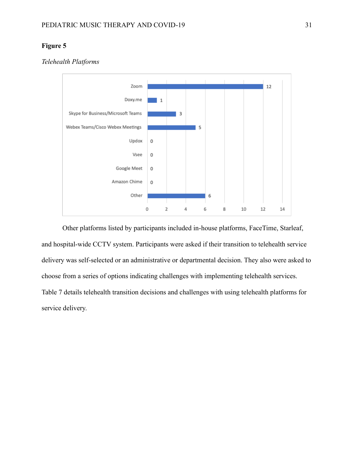## <span id="page-30-0"></span>**Figure 5**

## *Telehealth Platforms*



Other platforms listed by participants included in-house platforms, FaceTime, Starleaf, and hospital-wide CCTV system. Participants were asked if their transition to telehealth service delivery was self-selected or an administrative or departmental decision. They also were asked to choose from a series of options indicating challenges with implementing telehealth services. Table 7 details telehealth transition decisions and challenges with using telehealth platforms for service delivery.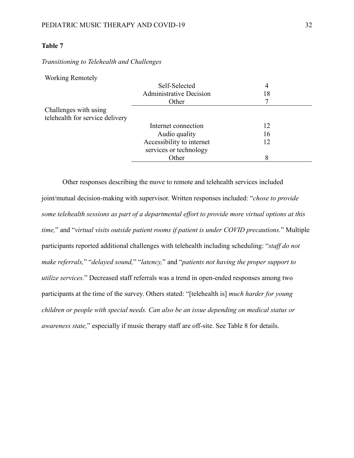## <span id="page-31-0"></span>**Table 7**

## *Transitioning to Telehealth and Challenges*

Working Remotely

|                                 | Self-Selected                  | 4  |  |
|---------------------------------|--------------------------------|----|--|
|                                 | <b>Administrative Decision</b> | 18 |  |
|                                 | Other                          | 7  |  |
| Challenges with using           |                                |    |  |
| telehealth for service delivery |                                |    |  |
|                                 | Internet connection            | 12 |  |
|                                 | Audio quality                  | 16 |  |
|                                 | Accessibility to internet      | 12 |  |
|                                 | services or technology         |    |  |
|                                 | Other                          | 8  |  |
|                                 |                                |    |  |

Other responses describing the move to remote and telehealth services included joint/mutual decision-making with supervisor. Written responses included: "*chose to provide some telehealth sessions as part of a departmental effort to provide more virtual options at this time,*" and "*virtual visits outside patient rooms if patient is under COVID precautions.*" Multiple participants reported additional challenges with telehealth including scheduling: "*staff do not make referrals,*" "*delayed sound,*" "*latency,*" and "*patients not having the proper support to utilize services.*" Decreased staff referrals was a trend in open-ended responses among two participants at the time of the survey. Others stated: "[telehealth is] *much harder for young children or people with special needs. Can also be an issue depending on medical status or awareness state,*" especially if music therapy staff are off-site. See Table 8 for details.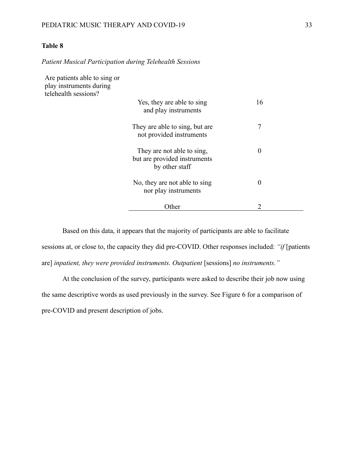## <span id="page-32-0"></span>**Table 8**

*Patient Musical Participation during Telehealth Sessions*

| Are patients able to sing or<br>play instruments during<br>telehealth sessions? |                                                                              |                  |
|---------------------------------------------------------------------------------|------------------------------------------------------------------------------|------------------|
|                                                                                 | Yes, they are able to sing<br>and play instruments                           | 16               |
|                                                                                 | They are able to sing, but are<br>not provided instruments                   | 7                |
|                                                                                 | They are not able to sing,<br>but are provided instruments<br>by other staff | $\boldsymbol{0}$ |
|                                                                                 | No, they are not able to sing<br>nor play instruments                        | $\boldsymbol{0}$ |
|                                                                                 | Other                                                                        | 2                |

Based on this data, it appears that the majority of participants are able to facilitate sessions at, or close to, the capacity they did pre-COVID. Other responses included: *"if* [patients are] *inpatient, they were provided instruments. Outpatient* [sessions] *no instruments."*

At the conclusion of the survey, participants were asked to describe their job now using the same descriptive words as used previously in the survey. See Figure 6 for a comparison of pre-COVID and present description of jobs.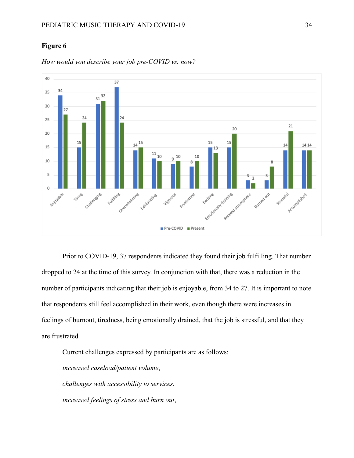## <span id="page-33-0"></span>**Figure 6**



*How would you describe your job pre-COVID vs. now?*

Prior to COVID-19, 37 respondents indicated they found their job fulfilling. That number dropped to 24 at the time of this survey. In conjunction with that, there was a reduction in the number of participants indicating that their job is enjoyable, from 34 to 27. It is important to note that respondents still feel accomplished in their work, even though there were increases in feelings of burnout, tiredness, being emotionally drained, that the job is stressful, and that they are frustrated.

Current challenges expressed by participants are as follows: *increased caseload/patient volume*, *challenges with accessibility to services*, *increased feelings of stress and burn out*,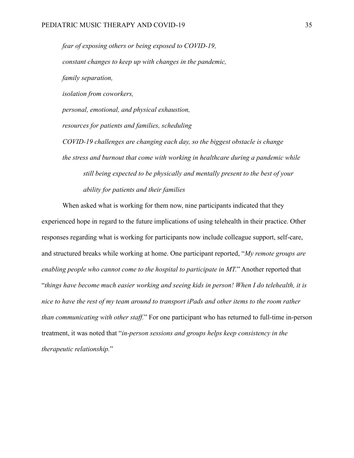*fear of exposing others or being exposed to COVID-19, constant changes to keep up with changes in the pandemic, family separation, isolation from coworkers, personal, emotional, and physical exhaustion, resources for patients and families, scheduling COVID-19 challenges are changing each day, so the biggest obstacle is change the stress and burnout that come with working in healthcare during a pandemic while still being expected to be physically and mentally present to the best of your ability for patients and their families*

When asked what is working for them now, nine participants indicated that they experienced hope in regard to the future implications of using telehealth in their practice. Other responses regarding what is working for participants now include colleague support, self-care, and structured breaks while working at home. One participant reported, "*My remote groups are enabling people who cannot come to the hospital to participate in MT.*" Another reported that "*things have become much easier working and seeing kids in person! When I do telehealth, it is nice to have the rest of my team around to transport iPads and other items to the room rather than communicating with other staff.*" For one participant who has returned to full-time in-person treatment, it was noted that "*in-person sessions and groups helps keep consistency in the therapeutic relationship.*"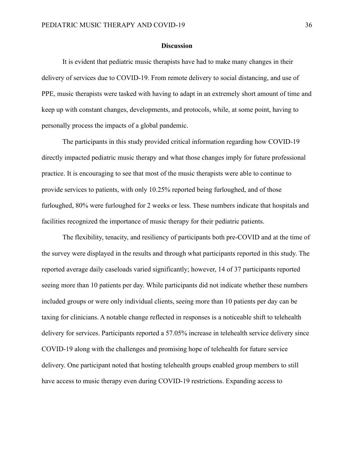#### **Discussion**

<span id="page-35-0"></span>It is evident that pediatric music therapists have had to make many changes in their delivery of services due to COVID-19. From remote delivery to social distancing, and use of PPE, music therapists were tasked with having to adapt in an extremely short amount of time and keep up with constant changes, developments, and protocols, while, at some point, having to personally process the impacts of a global pandemic.

The participants in this study provided critical information regarding how COVID-19 directly impacted pediatric music therapy and what those changes imply for future professional practice. It is encouraging to see that most of the music therapists were able to continue to provide services to patients, with only 10.25% reported being furloughed, and of those furloughed, 80% were furloughed for 2 weeks or less. These numbers indicate that hospitals and facilities recognized the importance of music therapy for their pediatric patients.

The flexibility, tenacity, and resiliency of participants both pre-COVID and at the time of the survey were displayed in the results and through what participants reported in this study. The reported average daily caseloads varied significantly; however, 14 of 37 participants reported seeing more than 10 patients per day. While participants did not indicate whether these numbers included groups or were only individual clients, seeing more than 10 patients per day can be taxing for clinicians. A notable change reflected in responses is a noticeable shift to telehealth delivery for services. Participants reported a 57.05% increase in telehealth service delivery since COVID-19 along with the challenges and promising hope of telehealth for future service delivery. One participant noted that hosting telehealth groups enabled group members to still have access to music therapy even during COVID-19 restrictions. Expanding access to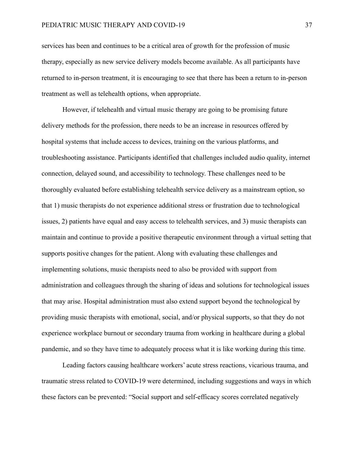services has been and continues to be a critical area of growth for the profession of music therapy, especially as new service delivery models become available. As all participants have returned to in-person treatment, it is encouraging to see that there has been a return to in-person treatment as well as telehealth options, when appropriate.

However, if telehealth and virtual music therapy are going to be promising future delivery methods for the profession, there needs to be an increase in resources offered by hospital systems that include access to devices, training on the various platforms, and troubleshooting assistance. Participants identified that challenges included audio quality, internet connection, delayed sound, and accessibility to technology. These challenges need to be thoroughly evaluated before establishing telehealth service delivery as a mainstream option, so that 1) music therapists do not experience additional stress or frustration due to technological issues, 2) patients have equal and easy access to telehealth services, and 3) music therapists can maintain and continue to provide a positive therapeutic environment through a virtual setting that supports positive changes for the patient. Along with evaluating these challenges and implementing solutions, music therapists need to also be provided with support from administration and colleagues through the sharing of ideas and solutions for technological issues that may arise. Hospital administration must also extend support beyond the technological by providing music therapists with emotional, social, and/or physical supports, so that they do not experience workplace burnout or secondary trauma from working in healthcare during a global pandemic, and so they have time to adequately process what it is like working during this time.

Leading factors causing healthcare workers' acute stress reactions, vicarious trauma, and traumatic stress related to COVID-19 were determined, including suggestions and ways in which these factors can be prevented: "Social support and self-efficacy scores correlated negatively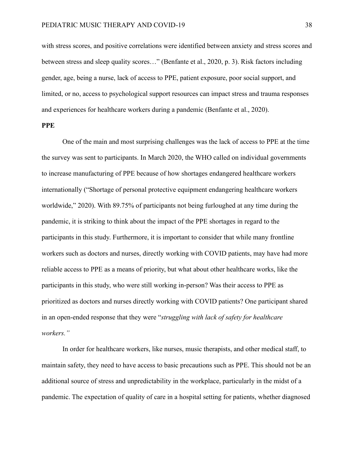with stress scores, and positive correlations were identified between anxiety and stress scores and between stress and sleep quality scores…" (Benfante et al., 2020, p. 3). Risk factors including gender, age, being a nurse, lack of access to PPE, patient exposure, poor social support, and limited, or no, access to psychological support resources can impact stress and trauma responses and experiences for healthcare workers during a pandemic (Benfante et al., 2020).

## <span id="page-37-0"></span>**PPE**

One of the main and most surprising challenges was the lack of access to PPE at the time the survey was sent to participants. In March 2020, the WHO called on individual governments to increase manufacturing of PPE because of how shortages endangered healthcare workers internationally ("Shortage of personal protective equipment endangering healthcare workers worldwide," 2020). With 89.75% of participants not being furloughed at any time during the pandemic, it is striking to think about the impact of the PPE shortages in regard to the participants in this study. Furthermore, it is important to consider that while many frontline workers such as doctors and nurses, directly working with COVID patients, may have had more reliable access to PPE as a means of priority, but what about other healthcare works, like the participants in this study, who were still working in-person? Was their access to PPE as prioritized as doctors and nurses directly working with COVID patients? One participant shared in an open-ended response that they were "*struggling with lack of safety for healthcare workers."*

In order for healthcare workers, like nurses, music therapists, and other medical staff, to maintain safety, they need to have access to basic precautions such as PPE. This should not be an additional source of stress and unpredictability in the workplace, particularly in the midst of a pandemic. The expectation of quality of care in a hospital setting for patients, whether diagnosed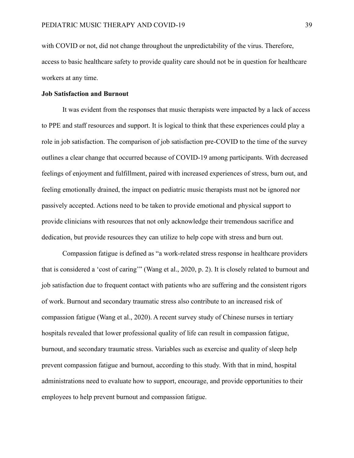with COVID or not, did not change throughout the unpredictability of the virus. Therefore, access to basic healthcare safety to provide quality care should not be in question for healthcare workers at any time.

#### <span id="page-38-0"></span>**Job Satisfaction and Burnout**

It was evident from the responses that music therapists were impacted by a lack of access to PPE and staff resources and support. It is logical to think that these experiences could play a role in job satisfaction. The comparison of job satisfaction pre-COVID to the time of the survey outlines a clear change that occurred because of COVID-19 among participants. With decreased feelings of enjoyment and fulfillment, paired with increased experiences of stress, burn out, and feeling emotionally drained, the impact on pediatric music therapists must not be ignored nor passively accepted. Actions need to be taken to provide emotional and physical support to provide clinicians with resources that not only acknowledge their tremendous sacrifice and dedication, but provide resources they can utilize to help cope with stress and burn out.

Compassion fatigue is defined as "a work-related stress response in healthcare providers that is considered a 'cost of caring'" (Wang et al., 2020, p. 2). It is closely related to burnout and job satisfaction due to frequent contact with patients who are suffering and the consistent rigors of work. Burnout and secondary traumatic stress also contribute to an increased risk of compassion fatigue (Wang et al., 2020). A recent survey study of Chinese nurses in tertiary hospitals revealed that lower professional quality of life can result in compassion fatigue, burnout, and secondary traumatic stress. Variables such as exercise and quality of sleep help prevent compassion fatigue and burnout, according to this study. With that in mind, hospital administrations need to evaluate how to support, encourage, and provide opportunities to their employees to help prevent burnout and compassion fatigue.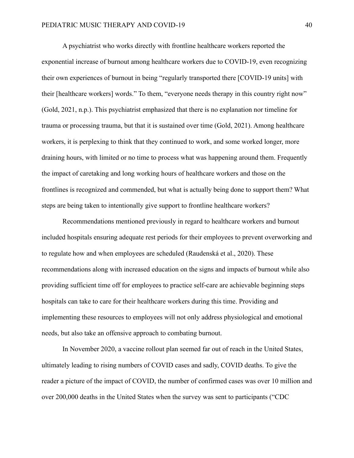A psychiatrist who works directly with frontline healthcare workers reported the exponential increase of burnout among healthcare workers due to COVID-19, even recognizing their own experiences of burnout in being "regularly transported there [COVID-19 units] with their [healthcare workers] words." To them, "everyone needs therapy in this country right now" (Gold, 2021, n.p.). This psychiatrist emphasized that there is no explanation nor timeline for trauma or processing trauma, but that it is sustained over time (Gold, 2021). Among healthcare workers, it is perplexing to think that they continued to work, and some worked longer, more draining hours, with limited or no time to process what was happening around them. Frequently the impact of caretaking and long working hours of healthcare workers and those on the frontlines is recognized and commended, but what is actually being done to support them? What steps are being taken to intentionally give support to frontline healthcare workers?

Recommendations mentioned previously in regard to healthcare workers and burnout included hospitals ensuring adequate rest periods for their employees to prevent overworking and to regulate how and when employees are scheduled (Raudenská et al., 2020). These recommendations along with increased education on the signs and impacts of burnout while also providing sufficient time off for employees to practice self-care are achievable beginning steps hospitals can take to care for their healthcare workers during this time. Providing and implementing these resources to employees will not only address physiological and emotional needs, but also take an offensive approach to combating burnout.

In November 2020, a vaccine rollout plan seemed far out of reach in the United States, ultimately leading to rising numbers of COVID cases and sadly, COVID deaths. To give the reader a picture of the impact of COVID, the number of confirmed cases was over 10 million and over 200,000 deaths in the United States when the survey was sent to participants ("CDC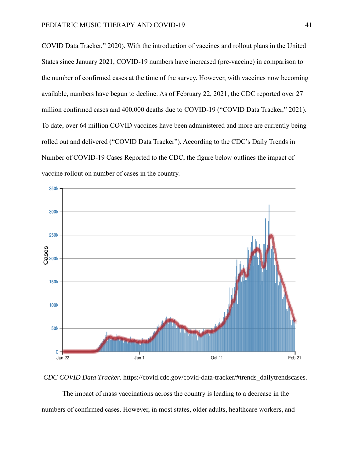COVID Data Tracker," 2020). With the introduction of vaccines and rollout plans in the United States since January 2021, COVID-19 numbers have increased (pre-vaccine) in comparison to the number of confirmed cases at the time of the survey. However, with vaccines now becoming available, numbers have begun to decline. As of February 22, 2021, the CDC reported over 27 million confirmed cases and 400,000 deaths due to COVID-19 ("COVID Data Tracker," 2021). To date, over 64 million COVID vaccines have been administered and more are currently being rolled out and delivered ("COVID Data Tracker"). According to the CDC's Daily Trends in Number of COVID-19 Cases Reported to the CDC, the figure below outlines the impact of vaccine rollout on number of cases in the country.



*CDC COVID Data Tracker*. https://covid.cdc.gov/covid-data-tracker/#trends\_dailytrendscases.

The impact of mass vaccinations across the country is leading to a decrease in the numbers of confirmed cases. However, in most states, older adults, healthcare workers, and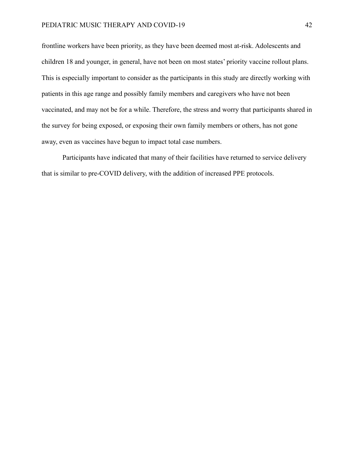frontline workers have been priority, as they have been deemed most at-risk. Adolescents and children 18 and younger, in general, have not been on most states' priority vaccine rollout plans. This is especially important to consider as the participants in this study are directly working with patients in this age range and possibly family members and caregivers who have not been vaccinated, and may not be for a while. Therefore, the stress and worry that participants shared in the survey for being exposed, or exposing their own family members or others, has not gone away, even as vaccines have begun to impact total case numbers.

Participants have indicated that many of their facilities have returned to service delivery that is similar to pre-COVID delivery, with the addition of increased PPE protocols.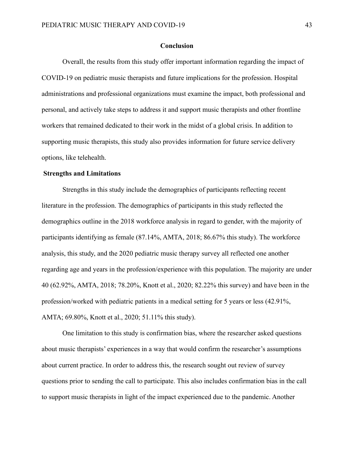#### **Conclusion**

<span id="page-42-0"></span>Overall, the results from this study offer important information regarding the impact of COVID-19 on pediatric music therapists and future implications for the profession. Hospital administrations and professional organizations must examine the impact, both professional and personal, and actively take steps to address it and support music therapists and other frontline workers that remained dedicated to their work in the midst of a global crisis. In addition to supporting music therapists, this study also provides information for future service delivery options, like telehealth.

#### <span id="page-42-1"></span>**Strengths and Limitations**

Strengths in this study include the demographics of participants reflecting recent literature in the profession. The demographics of participants in this study reflected the demographics outline in the 2018 workforce analysis in regard to gender, with the majority of participants identifying as female (87.14%, AMTA, 2018; 86.67% this study). The workforce analysis, this study, and the 2020 pediatric music therapy survey all reflected one another regarding age and years in the profession/experience with this population. The majority are under 40 (62.92%, AMTA, 2018; 78.20%, Knott et al., 2020; 82.22% this survey) and have been in the profession/worked with pediatric patients in a medical setting for 5 years or less (42.91%, AMTA; 69.80%, Knott et al., 2020; 51.11% this study).

One limitation to this study is confirmation bias, where the researcher asked questions about music therapists' experiences in a way that would confirm the researcher's assumptions about current practice. In order to address this, the research sought out review of survey questions prior to sending the call to participate. This also includes confirmation bias in the call to support music therapists in light of the impact experienced due to the pandemic. Another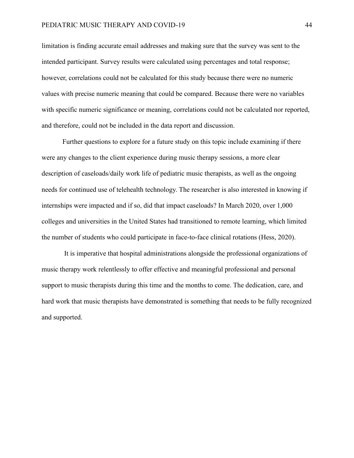limitation is finding accurate email addresses and making sure that the survey was sent to the intended participant. Survey results were calculated using percentages and total response; however, correlations could not be calculated for this study because there were no numeric values with precise numeric meaning that could be compared. Because there were no variables with specific numeric significance or meaning, correlations could not be calculated nor reported, and therefore, could not be included in the data report and discussion.

Further questions to explore for a future study on this topic include examining if there were any changes to the client experience during music therapy sessions, a more clear description of caseloads/daily work life of pediatric music therapists, as well as the ongoing needs for continued use of telehealth technology. The researcher is also interested in knowing if internships were impacted and if so, did that impact caseloads? In March 2020, over 1,000 colleges and universities in the United States had transitioned to remote learning, which limited the number of students who could participate in face-to-face clinical rotations (Hess, 2020).

It is imperative that hospital administrations alongside the professional organizations of music therapy work relentlessly to offer effective and meaningful professional and personal support to music therapists during this time and the months to come. The dedication, care, and hard work that music therapists have demonstrated is something that needs to be fully recognized and supported.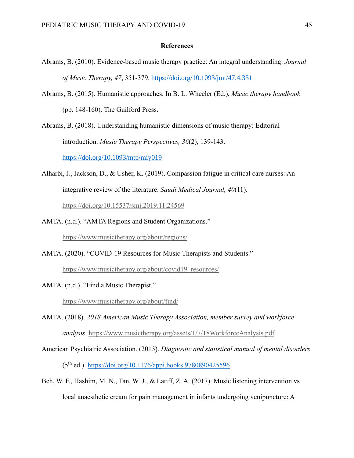### **References**

- <span id="page-44-0"></span>Abrams, B. (2010). Evidence-based music therapy practice: An integral understanding. *Journal of Music Therapy, 47*, 351-379. <https://doi.org/10.1093/jmt/47.4.351>
- Abrams, B. (2015). Humanistic approaches. In B. L. Wheeler (Ed.), *Music therapy handbook* (pp. 148-160). The Guilford Press.

Abrams, B. (2018). Understanding humanistic dimensions of music therapy: Editorial introduction. *Music Therapy Perspectives, 36*(2), 139-143.

<https://doi.org/10.1093/mtp/miy019>

- Alharbi, J., Jackson, D., & Usher, K. (2019). Compassion fatigue in critical care nurses: An integrative review of the literature. *Saudi Medical Journal, 40*(11). <https://doi.org/10.15537/smj.2019.11.24569>
- AMTA. (n.d.). "AMTA Regions and Student Organizations."

<https://www.musictherapy.org/about/regions/>

AMTA. (2020). "COVID-19 Resources for Music Therapists and Students."

[https://www.musictherapy.org/about/covid19\\_resources/](https://www.musictherapy.org/about/covid19_resources/)

AMTA. (n.d.). "Find a Music Therapist."

<https://www.musictherapy.org/about/find/>

- AMTA. (2018). *2018 American Music Therapy Association, member survey and workforce analysis.* <https://www.musictherapy.org/assets/1/7/18WorkforceAnalysis.pdf>
- American Psychiatric Association. (2013). *Diagnostic and statistical manual of mental disorders* (5th ed.).<https://doi.org/10.1176/appi.books.9780890425596>
- Beh, W. F., Hashim, M. N., Tan, W. J., & Latiff, Z. A. (2017). Music listening intervention vs local anaesthetic cream for pain management in infants undergoing venipuncture: A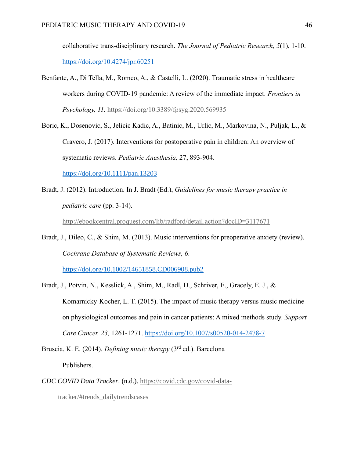collaborative trans-disciplinary research. *The Journal of Pediatric Research, 5*(1), 1-10. <https://doi.org/10.4274/jpr.60251>

- Benfante, A., Di Tella, M., Romeo, A., & Castelli, L. (2020). Traumatic stress in healthcare workers during COVID-19 pandemic: A review of the immediate impact. *Frontiers in Psychology, 11.* <https://doi.org/10.3389/fpsyg.2020.569935>
- Boric, K., Dosenovic, S., Jelicic Kadic, A., Batinic, M., Urlic, M., Markovina, N., Puljak, L., & Cravero, J. (2017). Interventions for postoperative pain in children: An overview of systematic reviews. *Pediatric Anesthesia,* 27, 893-904. <https://doi.org/10.1111/pan.13203>
- Bradt, J. (2012). Introduction. In J. Bradt (Ed.), *Guidelines for music therapy practice in pediatric care* (pp. 3-14).

<http://ebookcentral.proquest.com/lib/radford/detail.action?docID=3117671>

Bradt, J., Dileo, C., & Shim, M. (2013). Music interventions for preoperative anxiety (review). *Cochrane Database of Systematic Reviews, 6*.

<https://doi.org/10.1002/14651858.CD006908.pub2>

- Bradt, J., Potvin, N., Kesslick, A., Shim, M., Radl, D., Schriver, E., Gracely, E. J., & Komarnicky-Kocher, L. T. (2015). The impact of music therapy versus music medicine on physiological outcomes and pain in cancer patients: A mixed methods study. *Support Care Cancer, 23,* 1261-1271. <https://doi.org/10.1007/s00520-014-2478-7>
- Bruscia, K. E. (2014). *Defining music therapy* (3rd ed.). Barcelona Publishers.
- *CDC COVID Data Tracker*. (n.d.). [https://covid.cdc.gov/covid-data-](https://covid.cdc.gov/covid-data-tracker/#trends_dailytrendscases)

[tracker/#trends\\_dailytrendscases](https://covid.cdc.gov/covid-data-tracker/#trends_dailytrendscases)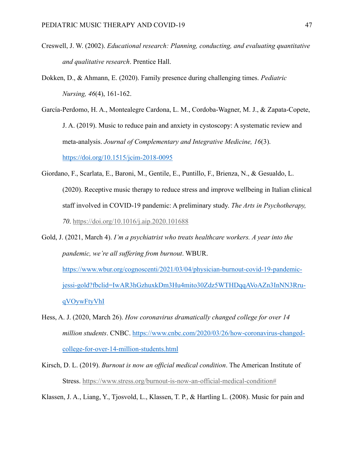- Creswell, J. W. (2002). *Educational research: Planning, conducting, and evaluating quantitative and qualitative research*. Prentice Hall.
- Dokken, D., & Ahmann, E. (2020). Family presence during challenging times. *Pediatric Nursing, 46*(4), 161-162.

García-Perdomo, H. A., Montealegre Cardona, L. M., Cordoba-Wagner, M. J., & Zapata-Copete, J. A. (2019). Music to reduce pain and anxiety in cystoscopy: A systematic review and meta-analysis. *Journal of Complementary and Integrative Medicine, 16*(3). https://doi.org/[10.1515/jcim-2018-0095](https://doi.org/10.1515/jcim-2018-0095)

- Giordano, F., Scarlata, E., Baroni, M., Gentile, E., Puntillo, F., Brienza, N., & Gesualdo, L. (2020). Receptive music therapy to reduce stress and improve wellbeing in Italian clinical staff involved in COVID-19 pandemic: A preliminary study. *The Arts in Psychotherapy, 70*.<https://doi.org/10.1016/j.aip.2020.101688>
- Gold, J. (2021, March 4). *I'm a psychiatrist who treats healthcare workers. A year into the pandemic, we're all suffering from burnout*. WBUR. [https://www.wbur.org/cognoscenti/2021/03/04/physician-burnout-covid-19-pandemic](https://www.wbur.org/cognoscenti/2021/03/04/physician-burnout-covid-19-pandemic-jessi-gold?fbclid=IwAR3hGzhuxkDm3Hu4mito30Zdz5WTHDqqAVoAZn3InNN3Rru-qVOywFtyVhI)[jessi-gold?fbclid=IwAR3hGzhuxkDm3Hu4mito30Zdz5WTHDqqAVoAZn3InNN3Rru](https://www.wbur.org/cognoscenti/2021/03/04/physician-burnout-covid-19-pandemic-jessi-gold?fbclid=IwAR3hGzhuxkDm3Hu4mito30Zdz5WTHDqqAVoAZn3InNN3Rru-qVOywFtyVhI)[qVOywFtyVhI](https://www.wbur.org/cognoscenti/2021/03/04/physician-burnout-covid-19-pandemic-jessi-gold?fbclid=IwAR3hGzhuxkDm3Hu4mito30Zdz5WTHDqqAVoAZn3InNN3Rru-qVOywFtyVhI)
- Hess, A. J. (2020, March 26). *How coronavirus dramatically changed college for over 14 million students*. CNBC. [https://www.cnbc.com/2020/03/26/how-coronavirus-changed](https://www.cnbc.com/2020/03/26/how-coronavirus-changed-college-for-over-14-million-students.html)[college-for-over-14-million-students.html](https://www.cnbc.com/2020/03/26/how-coronavirus-changed-college-for-over-14-million-students.html)
- Kirsch, D. L. (2019). *Burnout is now an official medical condition*. The American Institute of Stress. [https://www.stress.org/burnout-is-now-an-official-medical-condition#](https://www.stress.org/burnout-is-now-an-official-medical-condition)

Klassen, J. A., Liang, Y., Tjosvold, L., Klassen, T. P., & Hartling L. (2008). Music for pain and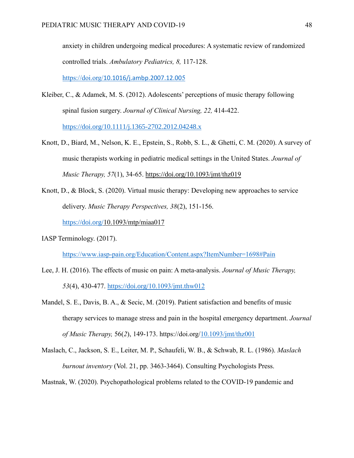anxiety in children undergoing medical procedures: A systematic review of randomized controlled trials. *Ambulatory Pediatrics, 8,* 117-128.

https://doi.org/[10.1016/j.ambp.2007.12.00](https://doi.org/10.1016/j.ambp.2007.12.005)5

Kleiber, C., & Adamek, M. S. (2012). Adolescents' perceptions of music therapy following spinal fusion surgery. *Journal of Clinical Nursing, 22,* 414-422.

<https://doi.org/10.1111/j.1365-2702.2012.04248.x>

- Knott, D., Biard, M., Nelson, K. E., Epstein, S., Robb, S. L., & Ghetti, C. M. (2020). A survey of music therapists working in pediatric medical settings in the United States. *Journal of Music Therapy, 57*(1), 34-65. [https://doi.org/](https://doi.org/10.1093/jmt/thz019)[10.1093/jmt/thz019](file:///C:/Users/nataliepulliam/Downloads/10.1093/jmt/thz019)
- Knott, D., & Block, S. (2020). Virtual music therapy: Developing new approaches to service delivery. *Music Therapy Perspectives, 38*(2), 151-156.

<https://doi.org/>[10.1093/mtp/miaa017](file:///C:/Users/nataliepulliam/Downloads/10.1093/mtp/miaa017)

IASP Terminology. (2017).

<https://www.iasp-pain.org/Education/Content.aspx?ItemNumber=1698#Pain>

- Lee, J. H. (2016). The effects of music on pain: A meta-analysis. *Journal of Music Therapy, 53*(4), 430-477. https://doi.org/[10.1093/jmt.thw012](https://doi.org/10.1093/jmt.thw012)
- Mandel, S. E., Davis, B. A., & Secic, M. (2019). Patient satisfaction and benefits of music therapy services to manage stress and pain in the hospital emergency department. *Journal of Music Therapy,* 56(*2*), 149-173. https://doi.org[/10.1093/jmt/thz001](file:///C:/Users/ashle/Downloads/10.1093/jmt.thz001)
- Maslach, C., Jackson, S. E., Leiter, M. P., Schaufeli, W. B., & Schwab, R. L. (1986). *Maslach burnout inventory* (Vol. 21, pp. 3463-3464). Consulting Psychologists Press.

Mastnak, W. (2020). Psychopathological problems related to the COVID-19 pandemic and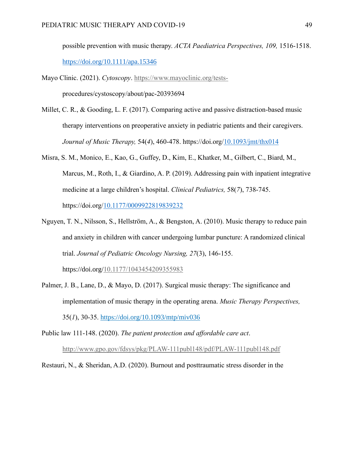possible prevention with music therapy. *ACTA Paediatrica Perspectives, 109,* 1516-1518. <https://doi.org/10.1111/apa.15346>

- Mayo Clinic. (2021). *Cytoscopy*. [https://www.mayoclinic.org/tests](https://www.mayoclinic.org/tests-%20%20procedures/cystoscopy/about/pac-20393694)procedures/cystoscopy/about/pac-20393694
- Millet, C. R., & Gooding, L. F. (2017). Comparing active and passive distraction-based music therapy interventions on preoperative anxiety in pediatric patients and their caregivers. *Journal of Music Therapy,* 54(*4*), 460-478. https://doi.org[/10.1093/jmt/thx014](file:///C:/Users/ashle/Downloads/10.1093/jmt/thx014)
- Misra, S. M., Monico, E., Kao, G., Guffey, D., Kim, E., Khatker, M., Gilbert, C., Biard, M., Marcus, M., Roth, I., & Giardino, A. P. (2019). Addressing pain with inpatient integrative medicine at a large children's hospital. *Clinical Pediatrics,* 58(*7*), 738-745. https://doi.org[/10.1177/0009922819839232](file:///C:/Users/ashle/Downloads/10.1177/0009922819839232)
- Nguyen, T. N., Nilsson, S., Hellström, A., & Bengston, A. (2010). Music therapy to reduce pain and anxiety in children with cancer undergoing lumbar puncture: A randomized clinical trial. *Journal of Pediatric Oncology Nursing, 27*(3), 146-155.

https://doi.org/[10.1177/1043454209355983](http://doi.org/10.1177/1043454209355983)

Palmer, J. B., Lane, D., & Mayo, D. (2017). Surgical music therapy: The significance and implementation of music therapy in the operating arena. *Music Therapy Perspectives,*  35(*1*), 30-35. <https://doi.org/10.1093/mtp/miv036>

Public law 111-148. (2020). *The patient protection and affordable care act*. <http://www.gpo.gov/fdsys/pkg/PLAW-111publ148/pdf/PLAW-111publ148.pdf>

Restauri, N., & Sheridan, A.D. (2020). Burnout and posttraumatic stress disorder in the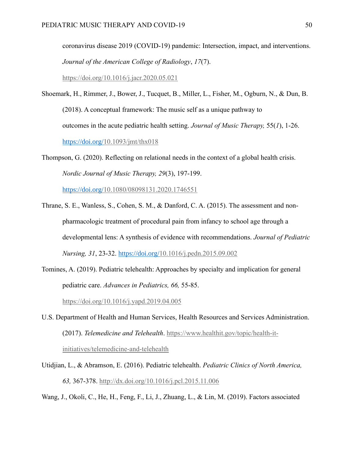coronavirus disease 2019 (COVID-19) pandemic: Intersection, impact, and interventions. *Journal of the American College of Radiology*, *17*(7).

<https://doi.org/10.1016/j.jacr.2020.05.021>

Shoemark, H., Rimmer, J., Bower, J., Tucquet, B., Miller, L., Fisher, M., Ogburn, N., & Dun, B. (2018). A conceptual framework: The music self as a unique pathway to outcomes in the acute pediatric health setting. *Journal of Music Therapy,* 55(*1*), 1-26. <https://doi.org/>[10.1093/jmt/thx018](file:///C:/Users/nataliepulliam/Downloads/10.1093/jmt/thx018)

Thompson, G. (2020). Reflecting on relational needs in the context of a global health crisis. *Nordic Journal of Music Therapy, 29*(3), 197-199.

<https://doi.org/>[10.1080/08098131.2020.1746551](file:///C:/Users/nataliepulliam/Downloads/10.1080/08098131.2020.1746551)

- Thrane, S. E., Wanless, S., Cohen, S. M., & Danford, C. A. (2015). The assessment and nonpharmacologic treatment of procedural pain from infancy to school age through a developmental lens: A synthesis of evidence with recommendations. *Journal of Pediatric Nursing, 31*, 23-32. <https://doi.org/>10.1016/j.pedn.2015.09.002
- Tomines, A. (2019). Pediatric telehealth: Approaches by specialty and implication for general pediatric care. *Advances in Pediatrics, 66,* 55-85.

<https://doi.org/10.1016/j.yapd.2019.04.005>

- U.S. Department of Health and Human Services, Health Resources and Services Administration. (2017). *Telemedicine and Telehealth*. [https://www.healthit.gov/topic/health-it](https://www.healthit.gov/topic/health-it-initiatives/telemedicine-and-telehealth)[initiatives/telemedicine-and-telehealth](https://www.healthit.gov/topic/health-it-initiatives/telemedicine-and-telehealth)
- Utidjian, L., & Abramson, E. (2016). Pediatric telehealth. *Pediatric Clinics of North America, 63,* 367-378.<http://dx.doi.org/10.1016/j.pcl.2015.11.006>

Wang, J., Okoli, C., He, H., Feng, F., Li, J., Zhuang, L., & Lin, M. (2019). Factors associated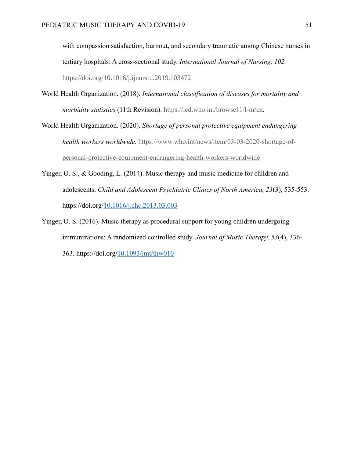with compassion satisfaction, burnout, and secondary traumatic among Chinese nurses in tertiary hospitals: A cross-sectional study. *International Journal of Nursing, 102.* [https://doi.org/10.1016/j.ijnurstu.2019.103472](https://doi.org/10.1016/j.ijnurstu.2019.103472%200020-7489)

- World Health Organization. (2018). *International classification of diseases for mortality and morbidity statistics* (11th Revision). [https://icd.who.int/browse11/l-m/en.](https://icd.who.int/browse11/l-m/en)
- World Health Organization. (2020). *Shortage of personal protective equipment endangering health workers worldwide*. [https://www.who.int/news/item/03-03-2020-shortage-of](https://www.who.int/news/item/03-03-2020-shortage-of-personal-protective-equipment-endangering-health-workers-worldwide)[personal-protective-equipment-endangering-health-workers-worldwide](https://www.who.int/news/item/03-03-2020-shortage-of-personal-protective-equipment-endangering-health-workers-worldwide)
- Yinger, O. S., & Gooding, L. (2014). Music therapy and music medicine for children and adolescents. *Child and Adolescent Psychiatric Clinics of North America, 23*(3), 535-553. https://doi.org/[10.1016/j.chc.2013.03.003](file:///C:/Users/ashle/Downloads/10.1016/j.chc.2013.03.003)
- Yinger, O. S. (2016). Music therapy as procedural support for young children undergoing immunizations: A randomized controlled study. *Journal of Music Therapy, 53*(4), 336- 363. https://doi.org/[10.1093/jmt/thw010](file:///C:/Users/ashle/Downloads/10.1093/jmt/thw010)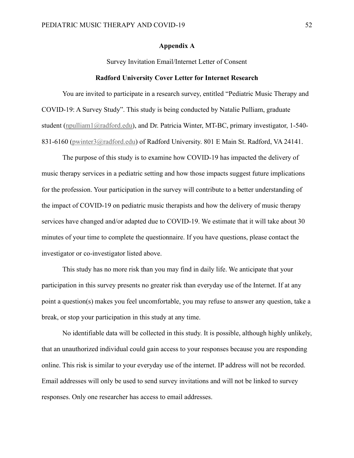#### **Appendix A**

Survey Invitation Email/Internet Letter of Consent

#### **Radford University Cover Letter for Internet Research**

<span id="page-51-0"></span>You are invited to participate in a research survey, entitled "Pediatric Music Therapy and COVID-19: A Survey Study". This study is being conducted by Natalie Pulliam, graduate student [\(npulliam1@radford.edu\)](mailto:npulliam1@radford.edu), and Dr. Patricia Winter, MT-BC, primary investigator, 1-540-831-6160 [\(pwinter3@radford.edu\)](mailto:pwinter3@radford.edu) of Radford University. 801 E Main St. Radford, VA 24141.

The purpose of this study is to examine how COVID-19 has impacted the delivery of music therapy services in a pediatric setting and how those impacts suggest future implications for the profession. Your participation in the survey will contribute to a better understanding of the impact of COVID-19 on pediatric music therapists and how the delivery of music therapy services have changed and/or adapted due to COVID-19. We estimate that it will take about 30 minutes of your time to complete the questionnaire. If you have questions, please contact the investigator or co-investigator listed above.

This study has no more risk than you may find in daily life. We anticipate that your participation in this survey presents no greater risk than everyday use of the Internet. If at any point a question(s) makes you feel uncomfortable, you may refuse to answer any question, take a break, or stop your participation in this study at any time.

No identifiable data will be collected in this study. It is possible, although highly unlikely, that an unauthorized individual could gain access to your responses because you are responding online. This risk is similar to your everyday use of the internet. IP address will not be recorded. Email addresses will only be used to send survey invitations and will not be linked to survey responses. Only one researcher has access to email addresses.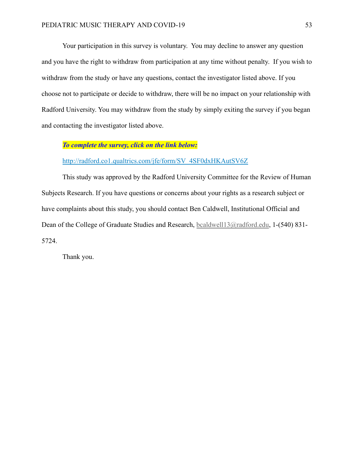Your participation in this survey is voluntary. You may decline to answer any question and you have the right to withdraw from participation at any time without penalty. If you wish to withdraw from the study or have any questions, contact the investigator listed above. If you choose not to participate or decide to withdraw, there will be no impact on your relationship with Radford University. You may withdraw from the study by simply exiting the survey if you began and contacting the investigator listed above.

## *To complete the survey, click on the link below:*

[http://radford.co1.qualtrics.com/jfe/form/SV\\_4SF0dxHKAutSV6Z](http://radford.co1.qualtrics.com/jfe/form/SV_4SF0dxHKAutSV6Z)

This study was approved by the Radford University Committee for the Review of Human Subjects Research. If you have questions or concerns about your rights as a research subject or have complaints about this study, you should contact Ben Caldwell, Institutional Official and Dean of the College of Graduate Studies and Research, [bcaldwell13@radford.edu,](mailto:bcaldwell13@radford.edu) 1-(540) 831-5724.

Thank you.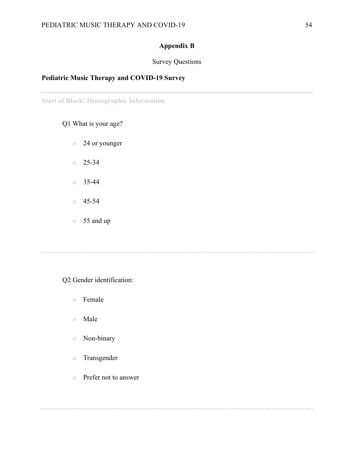# **Appendix B**

## Survey Questions

## <span id="page-53-0"></span>**Pediatric Music Therapy and COVID-19 Survey**

**Start of Block: Demographic Information**

## Q1 What is your age?

- o 24 or younger
- $0 \quad 25 34$
- $\circ$  35-44
- $0\quad 45-54$
- o 55 and up

## Q2 Gender identification:

- o Female
- o Male
- o Non-binary
- o Transgender
- o Prefer not to answer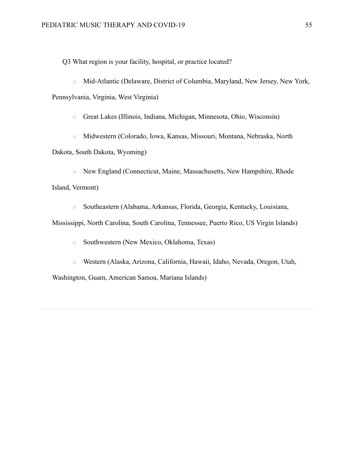Q3 What region is your facility, hospital, or practice located?

o Mid-Atlantic (Delaware, District of Columbia, Maryland, New Jersey, New York, Pennsylvania, Virginia, West Virginia)

o Great Lakes (Illinois, Indiana, Michigan, Minnesota, Ohio, Wisconsin)

o Midwestern (Colorado, Iowa, Kansas, Missouri, Montana, Nebraska, North Dakota, South Dakota, Wyoming)

o New England (Connecticut, Maine, Massachusetts, New Hampshire, Rhode Island, Vermont)

o Southeastern (Alabama, Arkansas, Florida, Georgia, Kentucky, Louisiana,

Mississippi, North Carolina, South Carolina, Tennessee, Puerto Rico, US Virgin Islands)

o Southwestern (New Mexico, Oklahoma, Texas)

o Western (Alaska, Arizona, California, Hawaii, Idaho, Nevada, Oregon, Utah, Washington, Guam, American Samoa, Mariana Islands)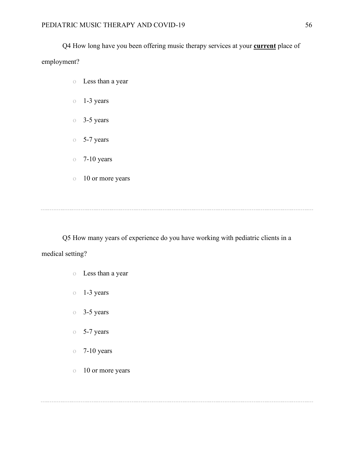# Q4 How long have you been offering music therapy services at your **current** place of employment?

- o Less than a year
- o 1-3 years
- o 3-5 years
- o 5-7 years
- $\circ$  7-10 years
- o 10 or more years

Q5 How many years of experience do you have working with pediatric clients in a medical setting?

- o Less than a year
- o 1-3 years
- o 3-5 years
- o 5-7 years
- $\degree$  7-10 years
- o 10 or more years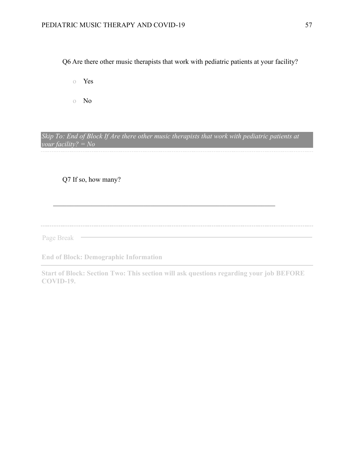Q6 Are there other music therapists that work with pediatric patients at your facility?

- o Yes
- o No

*Skip To: End of Block If Are there other music therapists that work with pediatric patients at your facility? = No*

Q7 If so, how many?

Page Break —

**End of Block: Demographic Information**

**Start of Block: Section Two: This section will ask questions regarding your job BEFORE COVID-19.**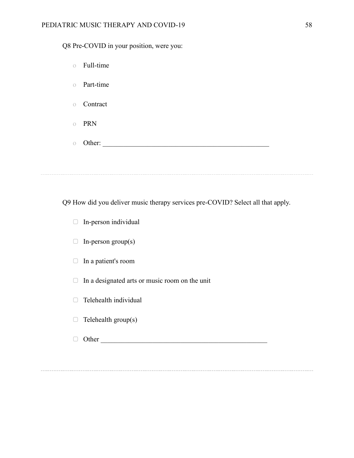Q8 Pre-COVID in your position, were you:

| Full-time<br>$\circ$    |  |  |
|-------------------------|--|--|
| Part-time<br>$\bigcirc$ |  |  |
| Contract<br>$\circ$     |  |  |
| PRN<br>$\bigcirc$       |  |  |
| Other:<br>$\bigcirc$    |  |  |
|                         |  |  |

Q9 How did you deliver music therapy services pre-COVID? Select all that apply.

- ▢ In-person individual
- $\Box$  In-person group(s)
- ▢ In a patient's room
- $\Box$  In a designated arts or music room on the unit
- □ Telehealth individual
- $\Box$  Telehealth group(s)
- ▢ Other \_\_\_\_\_\_\_\_\_\_\_\_\_\_\_\_\_\_\_\_\_\_\_\_\_\_\_\_\_\_\_\_\_\_\_\_\_\_\_\_\_\_\_\_\_\_\_\_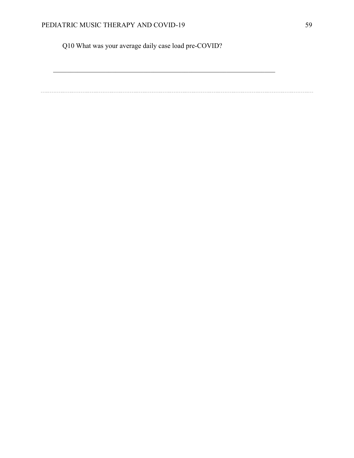Q10 What was your average daily case load pre-COVID?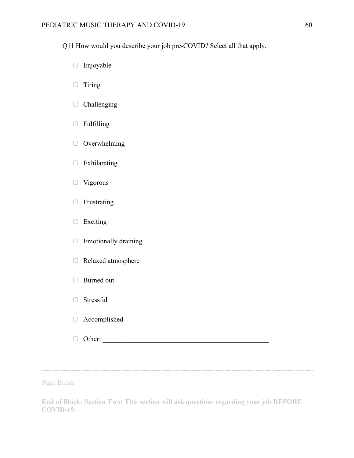Q11 How would you describe your job pre-COVID? Select all that apply.

- ▢ Enjoyable
- ▢ Tiring
- ▢ Challenging
- ▢ Fulfilling
- ▢ Overwhelming
- ▢ Exhilarating
- □ Vigorous
- ▢ Frustrating
- ▢ Exciting
- ▢ Emotionally draining
- ▢ Relaxed atmosphere
- □ Burned out
- □ Stressful
- ▢ Accomplished
- $\Box$  Other:

Page Break

**End of Block: Section Two: This section will ask questions regarding your job BEFORE COVID-19.**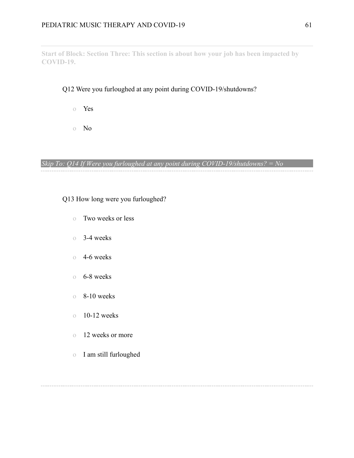**Start of Block: Section Three: This section is about how your job has been impacted by COVID-19.**

## Q12 Were you furloughed at any point during COVID-19/shutdowns?

- o Yes
- o No

*Skip To: Q14 If Were you furloughed at any point during COVID-19/shutdowns? = No*

## Q13 How long were you furloughed?

- o Two weeks or less
- o 3-4 weeks
- o 4-6 weeks
- o 6-8 weeks
- o 8-10 weeks
- $\degree$  10-12 weeks
- o 12 weeks or more
- o I am still furloughed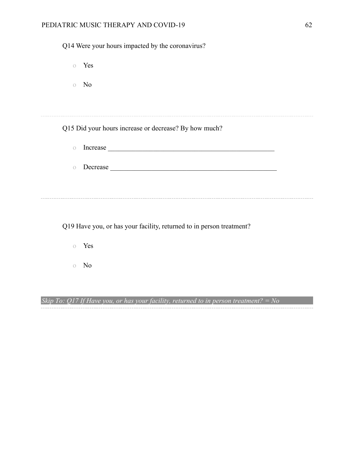## PEDIATRIC MUSIC THERAPY AND COVID-19 62

| Q14 Were your hours impacted by the coronavirus?                     |  |
|----------------------------------------------------------------------|--|
| o Yes                                                                |  |
| No<br>$\circ$                                                        |  |
|                                                                      |  |
| Q15 Did your hours increase or decrease? By how much?                |  |
| $\bigcirc$                                                           |  |
| $\circ$                                                              |  |
|                                                                      |  |
|                                                                      |  |
| Q19 Have you, or has your facility, returned to in person treatment? |  |
| Yes<br>$\bigcirc$                                                    |  |

o No

*Skip To: Q17 If Have you, or has your facility, returned to in person treatment? = No*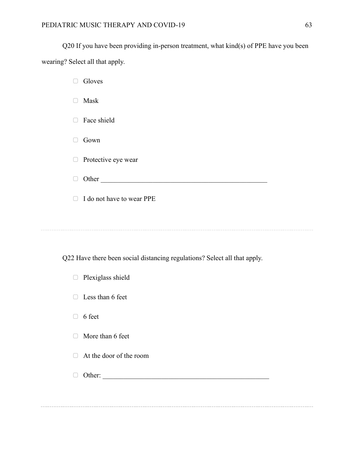□ Gloves

Q20 If you have been providing in-person treatment, what kind(s) of PPE have you been wearing? Select all that apply.

▢ Mask □ Face shield ▢ Gown □ Protective eye wear ▢ Other \_\_\_\_\_\_\_\_\_\_\_\_\_\_\_\_\_\_\_\_\_\_\_\_\_\_\_\_\_\_\_\_\_\_\_\_\_\_\_\_\_\_\_\_\_\_\_\_ ▢ I do not have to wear PPE

Q22 Have there been social distancing regulations? Select all that apply.

| Plexiglass shield<br>$\Box$  |
|------------------------------|
| Less than 6 feet<br>$\Box$   |
| 6 feet<br>$\Box$             |
| More than 6 feet<br>$\Box$   |
| At the door of the room<br>n |
| Other:                       |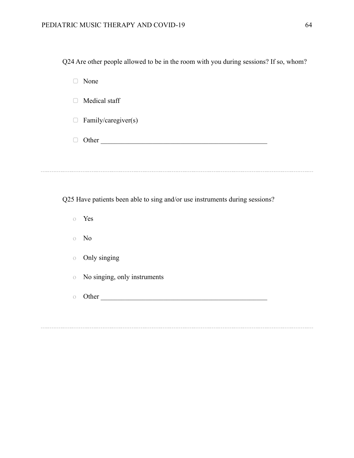| Q24 Are other people allowed to be in the room with you during sessions? If so, whom? |  |  |
|---------------------------------------------------------------------------------------|--|--|
|                                                                                       |  |  |

▢ None

□ Medical staff

□ Family/caregiver(s)

 $\Box$  Other

Q25 Have patients been able to sing and/or use instruments during sessions?

- o Yes
- o No
- o Only singing
- o No singing, only instruments
- o Other \_\_\_\_\_\_\_\_\_\_\_\_\_\_\_\_\_\_\_\_\_\_\_\_\_\_\_\_\_\_\_\_\_\_\_\_\_\_\_\_\_\_\_\_\_\_\_\_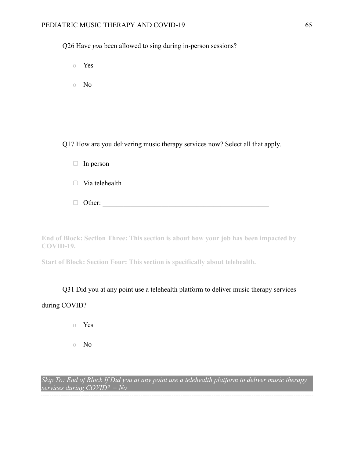## PEDIATRIC MUSIC THERAPY AND COVID-19 65

Q26 Have *you* been allowed to sing during in-person sessions?

o Yes

o No

Q17 How are you delivering music therapy services now? Select all that apply.

|        | $\Box$ In person      |
|--------|-----------------------|
|        | $\Box$ Via telehealth |
| $\Box$ | Other:                |

**End of Block: Section Three: This section is about how your job has been impacted by COVID-19.**

**Start of Block: Section Four: This section is specifically about telehealth.**

Q31 Did you at any point use a telehealth platform to deliver music therapy services during COVID?

- o Yes
- o No

*Skip To: End of Block If Did you at any point use a telehealth platform to deliver music therapy services during COVID? = No*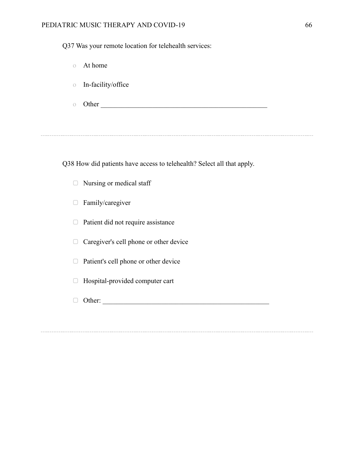## PEDIATRIC MUSIC THERAPY AND COVID-19 66

Q37 Was your remote location for telehealth services:

| $\bigcirc$ | At home            |  |
|------------|--------------------|--|
| $\bigcirc$ | In-facility/office |  |
|            | Other              |  |

Q38 How did patients have access to telehealth? Select all that apply.

- ▢ Nursing or medical staff
- ▢ Family/caregiver
- ▢ Patient did not require assistance
- ▢ Caregiver's cell phone or other device
- ▢ Patient's cell phone or other device
- ▢ Hospital-provided computer cart
- ▢ Other: \_\_\_\_\_\_\_\_\_\_\_\_\_\_\_\_\_\_\_\_\_\_\_\_\_\_\_\_\_\_\_\_\_\_\_\_\_\_\_\_\_\_\_\_\_\_\_\_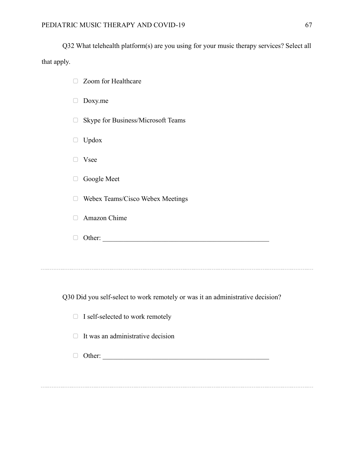Q32 What telehealth platform(s) are you using for your music therapy services? Select all that apply.

| Zoom for Healthcare                          |
|----------------------------------------------|
| Doxy.me                                      |
| Skype for Business/Microsoft Teams<br>$\Box$ |
| Updox                                        |
| Vsee                                         |
| Google Meet                                  |
| Webex Teams/Cisco Webex Meetings             |
| Amazon Chime                                 |
| Other:                                       |
|                                              |
|                                              |
|                                              |

Q30 Did you self-select to work remotely or was it an administrative decision?

|  |  | $\Box$ I self-selected to work remotely |
|--|--|-----------------------------------------|
|--|--|-----------------------------------------|

 $\Box$  It was an administrative decision

▢ Other: \_\_\_\_\_\_\_\_\_\_\_\_\_\_\_\_\_\_\_\_\_\_\_\_\_\_\_\_\_\_\_\_\_\_\_\_\_\_\_\_\_\_\_\_\_\_\_\_

\_\_\_\_\_\_\_\_\_\_\_\_\_\_\_\_\_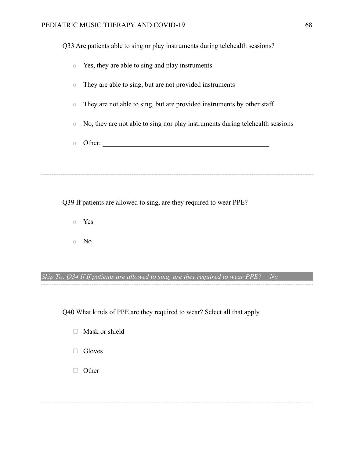Q33 Are patients able to sing or play instruments during telehealth sessions?

| $\circ$    | Yes, they are able to sing and play instruments                               |
|------------|-------------------------------------------------------------------------------|
| $\bigcirc$ | They are able to sing, but are not provided instruments                       |
| $\bigcirc$ | They are not able to sing, but are provided instruments by other staff        |
| $\circ$    | No, they are not able to sing nor play instruments during telehealth sessions |
| $\bigcap$  | Other:                                                                        |
|            |                                                                               |
|            |                                                                               |

Q39 If patients are allowed to sing, are they required to wear PPE?

- o Yes
- o No

# *Skip To: Q34 If If patients are allowed to sing, are they required to wear PPE? = No*

Q40 What kinds of PPE are they required to wear? Select all that apply.

|  |  | Mask or shield |
|--|--|----------------|
|--|--|----------------|

- □ Gloves
- ▢ Other \_\_\_\_\_\_\_\_\_\_\_\_\_\_\_\_\_\_\_\_\_\_\_\_\_\_\_\_\_\_\_\_\_\_\_\_\_\_\_\_\_\_\_\_\_\_\_\_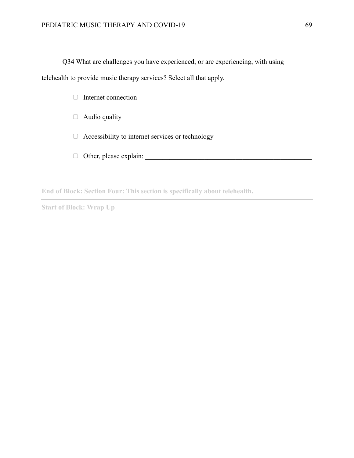Q34 What are challenges you have experienced, or are experiencing, with using telehealth to provide music therapy services? Select all that apply.

- □ Internet connection
- □ Audio quality
- ▢ Accessibility to internet services or technology
- ▢ Other, please explain: \_\_\_\_\_\_\_\_\_\_\_\_\_\_\_\_\_\_\_\_\_\_\_\_\_\_\_\_\_\_\_\_\_\_\_\_\_\_\_\_\_\_\_\_\_\_\_\_

**End of Block: Section Four: This section is specifically about telehealth.**

**Start of Block: Wrap Up**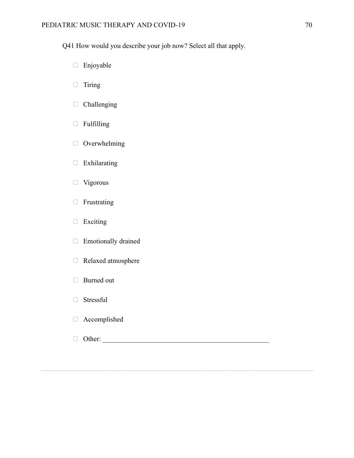Q41 How would you describe your job now? Select all that apply.

- ▢ Enjoyable
- ▢ Tiring
- ▢ Challenging
- ▢ Fulfilling
- ▢ Overwhelming
- ▢ Exhilarating
- ▢ Vigorous
- ▢ Frustrating
- ▢ Exciting
- □ Emotionally drained
- ▢ Relaxed atmosphere
- □ Burned out
- □ Stressful
- ▢ Accomplished
- $\Box$  Other: